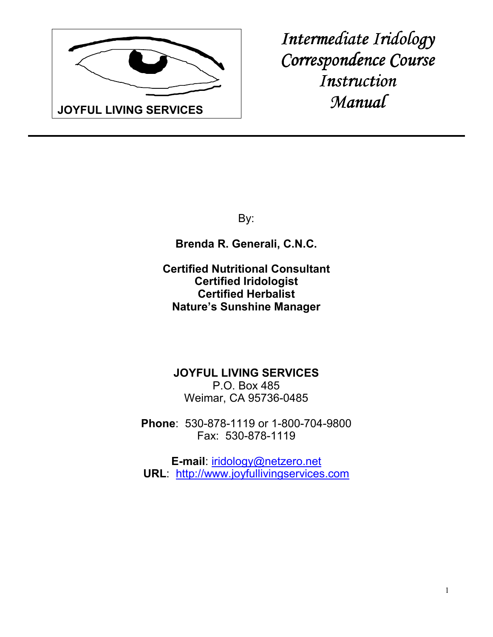

*Intermediate Iridology Correspondence Course Instruction Manual* 

By:

**Brenda R. Generali, C.N.C.**

**Certified Nutritional Consultant Certified Iridologist Certified Herbalist Nature's Sunshine Manager**

**JOYFUL LIVING SERVICES** P.O. Box 485 Weimar, CA 95736-0485

**Phone**: 530-878-1119 or 1-800-704-9800 Fax: 530-878-1119

**E-mail**: iridology@netzero.net **URL**: http://www.joyfullivingservices.com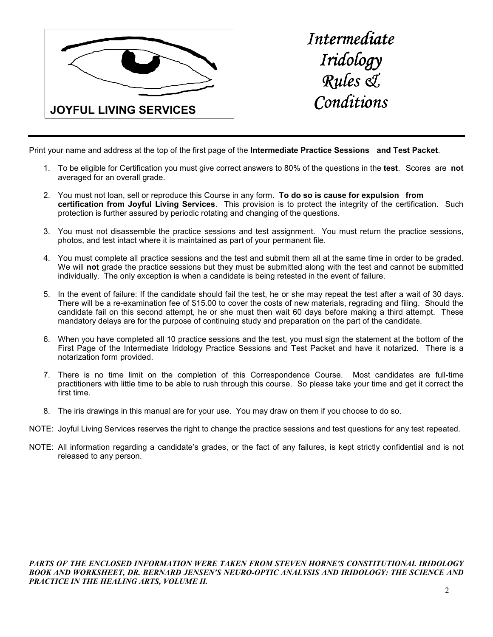

*Intermediate Iridology Iridology Rules & Rules Conditions* 

Print your name and address at the top of the first page of the **Intermediate Practice Sessions and Test Packet**.

- 1. To be eligible for Certification you must give correct answers to 80% of the questions in the **test**. Scores are **not**  averaged for an overall grade.
- 2. You must not loan, sell or reproduce this Course in any form. **To do so is cause for expulsion from certification from Joyful Living Services**. This provision is to protect the integrity of the certification. Such protection is further assured by periodic rotating and changing of the questions.
- 3. You must not disassemble the practice sessions and test assignment. You must return the practice sessions, photos, and test intact where it is maintained as part of your permanent file.
- 4. You must complete all practice sessions and the test and submit them all at the same time in order to be graded. We will **not** grade the practice sessions but they must be submitted along with the test and cannot be submitted individually. The only exception is when a candidate is being retested in the event of failure.
- 5. In the event of failure: If the candidate should fail the test, he or she may repeat the test after a wait of 30 days. There will be a re-examination fee of \$15.00 to cover the costs of new materials, regrading and filing. Should the candidate fail on this second attempt, he or she must then wait 60 days before making a third attempt. These mandatory delays are for the purpose of continuing study and preparation on the part of the candidate.
- 6. When you have completed all 10 practice sessions and the test, you must sign the statement at the bottom of the First Page of the Intermediate Iridology Practice Sessions and Test Packet and have it notarized. There is a notarization form provided.
- 7. There is no time limit on the completion of this Correspondence Course. Most candidates are full-time practitioners with little time to be able to rush through this course. So please take your time and get it correct the first time.
- 8. The iris drawings in this manual are for your use. You may draw on them if you choose to do so.
- NOTE: Joyful Living Services reserves the right to change the practice sessions and test questions for any test repeated.
- NOTE: All information regarding a candidate's grades, or the fact of any failures, is kept strictly confidential and is not released to any person.

*PARTS OF THE ENCLOSED INFORMATION WERE TAKEN FROM STEVEN HORNE'S CONSTITUTIONAL IRIDOLOGY BOOK AND WORKSHEET, DR. BERNARD JENSEN'S NEURO-OPTIC ANALYSIS AND IRIDOLOGY: THE SCIENCE AND PRACTICE IN THE HEALING ARTS, VOLUME II.*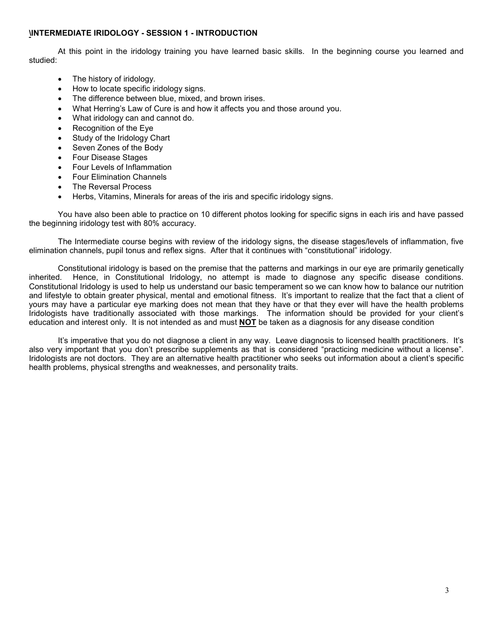# **\INTERMEDIATE IRIDOLOGY - SESSION 1 - INTRODUCTION**

 At this point in the iridology training you have learned basic skills. In the beginning course you learned and studied:

- The history of iridology.
- How to locate specific iridology signs.
- The difference between blue, mixed, and brown irises.
- What Herring's Law of Cure is and how it affects you and those around you.
- What iridology can and cannot do.
- Recognition of the Eye
- Study of the Iridology Chart
- Seven Zones of the Body
- Four Disease Stages
- Four Levels of Inflammation
- Four Elimination Channels
- The Reversal Process
- Herbs, Vitamins, Minerals for areas of the iris and specific iridology signs.

 You have also been able to practice on 10 different photos looking for specific signs in each iris and have passed the beginning iridology test with 80% accuracy.

 The Intermediate course begins with review of the iridology signs, the disease stages/levels of inflammation, five elimination channels, pupil tonus and reflex signs. After that it continues with "constitutional" iridology.

 Constitutional iridology is based on the premise that the patterns and markings in our eye are primarily genetically inherited. Hence, in Constitutional Iridology, no attempt is made to diagnose any specific disease conditions. Constitutional Iridology is used to help us understand our basic temperament so we can know how to balance our nutrition and lifestyle to obtain greater physical, mental and emotional fitness. It's important to realize that the fact that a client of yours may have a particular eye marking does not mean that they have or that they ever will have the health problems Iridologists have traditionally associated with those markings. The information should be provided for your client's education and interest only. It is not intended as and must **NOT** be taken as a diagnosis for any disease condition

 It's imperative that you do not diagnose a client in any way. Leave diagnosis to licensed health practitioners. It's also very important that you don't prescribe supplements as that is considered "practicing medicine without a license". Iridologists are not doctors. They are an alternative health practitioner who seeks out information about a client's specific health problems, physical strengths and weaknesses, and personality traits.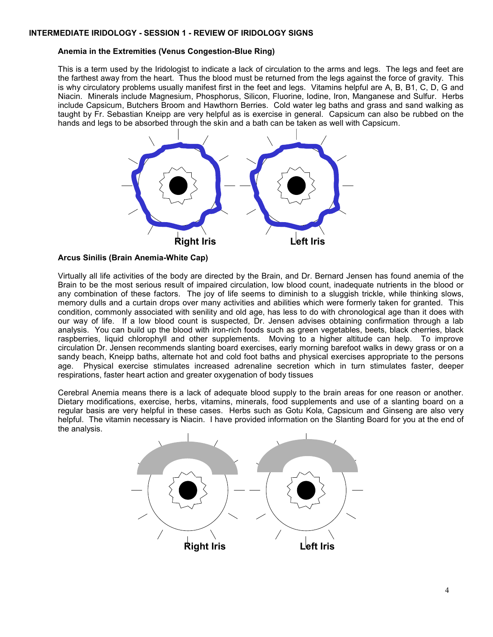# **Anemia in the Extremities (Venus Congestion-Blue Ring)**

This is a term used by the Iridologist to indicate a lack of circulation to the arms and legs. The legs and feet are the farthest away from the heart. Thus the blood must be returned from the legs against the force of gravity. This is why circulatory problems usually manifest first in the feet and legs. Vitamins helpful are A, B, B1, C, D, G and Niacin. Minerals include Magnesium, Phosphorus, Silicon, Fluorine, Iodine, Iron, Manganese and Sulfur. Herbs include Capsicum, Butchers Broom and Hawthorn Berries. Cold water leg baths and grass and sand walking as taught by Fr. Sebastian Kneipp are very helpful as is exercise in general. Capsicum can also be rubbed on the hands and legs to be absorbed through the skin and a bath can be taken as well with Capsicum.



# **Arcus Sinilis (Brain Anemia-White Cap)**

Virtually all life activities of the body are directed by the Brain, and Dr. Bernard Jensen has found anemia of the Brain to be the most serious result of impaired circulation, low blood count, inadequate nutrients in the blood or any combination of these factors. The joy of life seems to diminish to a sluggish trickle, while thinking slows, memory dulls and a curtain drops over many activities and abilities which were formerly taken for granted. This condition, commonly associated with senility and old age, has less to do with chronological age than it does with our way of life. If a low blood count is suspected, Dr. Jensen advises obtaining confirmation through a lab analysis. You can build up the blood with iron-rich foods such as green vegetables, beets, black cherries, black raspberries, liquid chlorophyll and other supplements. Moving to a higher altitude can help. To improve circulation Dr. Jensen recommends slanting board exercises, early morning barefoot walks in dewy grass or on a sandy beach, Kneipp baths, alternate hot and cold foot baths and physical exercises appropriate to the persons age. Physical exercise stimulates increased adrenaline secretion which in turn stimulates faster, deeper respirations, faster heart action and greater oxygenation of body tissues

Cerebral Anemia means there is a lack of adequate blood supply to the brain areas for one reason or another. Dietary modifications, exercise, herbs, vitamins, minerals, food supplements and use of a slanting board on a regular basis are very helpful in these cases. Herbs such as Gotu Kola, Capsicum and Ginseng are also very helpful. The vitamin necessary is Niacin. I have provided information on the Slanting Board for you at the end of the analysis.

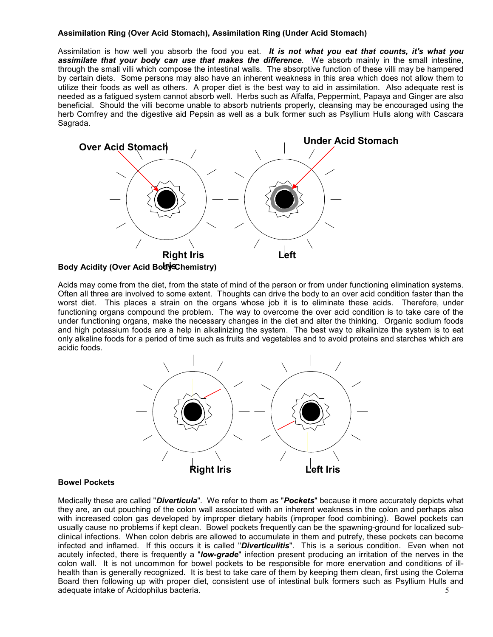# **Assimilation Ring (Over Acid Stomach), Assimilation Ring (Under Acid Stomach)**

Assimilation is how well you absorb the food you eat. *It is not what you eat that counts, it's what you assimilate that your body can use that makes the difference*. We absorb mainly in the small intestine, through the small villi which compose the intestinal walls. The absorptive function of these villi may be hampered by certain diets. Some persons may also have an inherent weakness in this area which does not allow them to utilize their foods as well as others. A proper diet is the best way to aid in assimilation. Also adequate rest is needed as a fatigued system cannot absorb well. Herbs such as Alfalfa, Peppermint, Papaya and Ginger are also beneficial. Should the villi become unable to absorb nutrients properly, cleansing may be encouraged using the herb Comfrey and the digestive aid Pepsin as well as a bulk former such as Psyllium Hulls along with Cascara Sagrada.



Acids may come from the diet, from the state of mind of the person or from under functioning elimination systems. Often all three are involved to some extent. Thoughts can drive the body to an over acid condition faster than the worst diet. This places a strain on the organs whose job it is to eliminate these acids. Therefore, under functioning organs compound the problem. The way to overcome the over acid condition is to take care of the under functioning organs, make the necessary changes in the diet and alter the thinking. Organic sodium foods and high potassium foods are a help in alkalinizing the system. The best way to alkalinize the system is to eat only alkaline foods for a period of time such as fruits and vegetables and to avoid proteins and starches which are acidic foods.



### **Bowel Pockets**

5 Medically these are called "*Diverticula*". We refer to them as "*Pockets*" because it more accurately depicts what they are, an out pouching of the colon wall associated with an inherent weakness in the colon and perhaps also with increased colon gas developed by improper dietary habits (improper food combining). Bowel pockets can usually cause no problems if kept clean. Bowel pockets frequently can be the spawning-ground for localized subclinical infections. When colon debris are allowed to accumulate in them and putrefy, these pockets can become infected and inflamed. If this occurs it is called "*Diverticulitis*". This is a serious condition. Even when not acutely infected, there is frequently a "*low-grade*" infection present producing an irritation of the nerves in the colon wall. It is not uncommon for bowel pockets to be responsible for more enervation and conditions of illhealth than is generally recognized. It is best to take care of them by keeping them clean, first using the Colema Board then following up with proper diet, consistent use of intestinal bulk formers such as Psyllium Hulls and adequate intake of Acidophilus bacteria.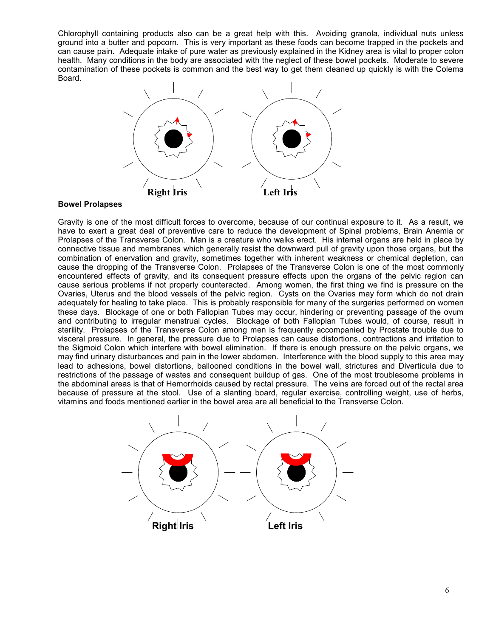Chlorophyll containing products also can be a great help with this. Avoiding granola, individual nuts unless ground into a butter and popcorn. This is very important as these foods can become trapped in the pockets and can cause pain. Adequate intake of pure water as previously explained in the Kidney area is vital to proper colon health. Many conditions in the body are associated with the neglect of these bowel pockets. Moderate to severe contamination of these pockets is common and the best way to get them cleaned up quickly is with the Colema Board.



### **Bowel Prolapses**

Gravity is one of the most difficult forces to overcome, because of our continual exposure to it. As a result, we have to exert a great deal of preventive care to reduce the development of Spinal problems, Brain Anemia or Prolapses of the Transverse Colon. Man is a creature who walks erect. His internal organs are held in place by connective tissue and membranes which generally resist the downward pull of gravity upon those organs, but the combination of enervation and gravity, sometimes together with inherent weakness or chemical depletion, can cause the dropping of the Transverse Colon. Prolapses of the Transverse Colon is one of the most commonly encountered effects of gravity, and its consequent pressure effects upon the organs of the pelvic region can cause serious problems if not properly counteracted. Among women, the first thing we find is pressure on the Ovaries, Uterus and the blood vessels of the pelvic region. Cysts on the Ovaries may form which do not drain adequately for healing to take place. This is probably responsible for many of the surgeries performed on women these days. Blockage of one or both Fallopian Tubes may occur, hindering or preventing passage of the ovum and contributing to irregular menstrual cycles. Blockage of both Fallopian Tubes would, of course, result in sterility. Prolapses of the Transverse Colon among men is frequently accompanied by Prostate trouble due to visceral pressure. In general, the pressure due to Prolapses can cause distortions, contractions and irritation to the Sigmoid Colon which interfere with bowel elimination. If there is enough pressure on the pelvic organs, we may find urinary disturbances and pain in the lower abdomen. Interference with the blood supply to this area may lead to adhesions, bowel distortions, ballooned conditions in the bowel wall, strictures and Diverticula due to restrictions of the passage of wastes and consequent buildup of gas. One of the most troublesome problems in the abdominal areas is that of Hemorrhoids caused by rectal pressure. The veins are forced out of the rectal area because of pressure at the stool. Use of a slanting board, regular exercise, controlling weight, use of herbs, vitamins and foods mentioned earlier in the bowel area are all beneficial to the Transverse Colon.

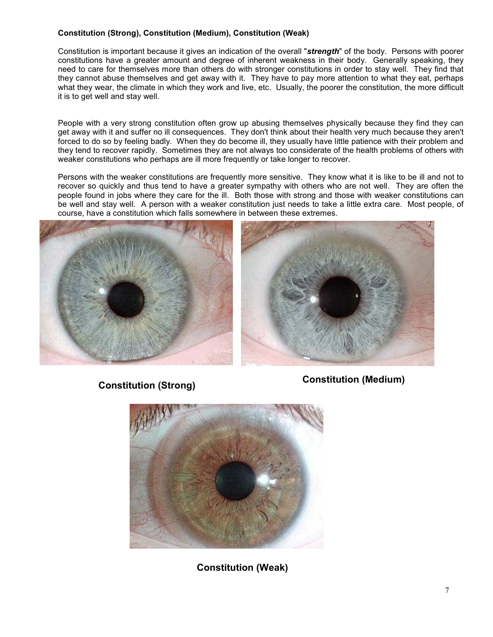# **Constitution (Strong), Constitution (Medium), Constitution (Weak)**

Constitution is important because it gives an indication of the overall "*strength*" of the body. Persons with poorer constitutions have a greater amount and degree of inherent weakness in their body. Generally speaking, they need to care for themselves more than others do with stronger constitutions in order to stay well. They find that they cannot abuse themselves and get away with it. They have to pay more attention to what they eat, perhaps what they wear, the climate in which they work and live, etc. Usually, the poorer the constitution, the more difficult it is to get well and stay well.

People with a very strong constitution often grow up abusing themselves physically because they find they can get away with it and suffer no ill consequences. They don't think about their health very much because they aren't forced to do so by feeling badly. When they do become ill, they usually have little patience with their problem and they tend to recover rapidly. Sometimes they are not always too considerate of the health problems of others with weaker constitutions who perhaps are ill more frequently or take longer to recover.

Persons with the weaker constitutions are frequently more sensitive. They know what it is like to be ill and not to recover so quickly and thus tend to have a greater sympathy with others who are not well. They are often the people found in jobs where they care for the ill. Both those with strong and those with weaker constitutions can be well and stay well. A person with a weaker constitution just needs to take a little extra care. Most people, of course, have a constitution which falls somewhere in between these extremes.





**Constitution (Strong) Constitution (Medium)**



**Constitution (Weak)**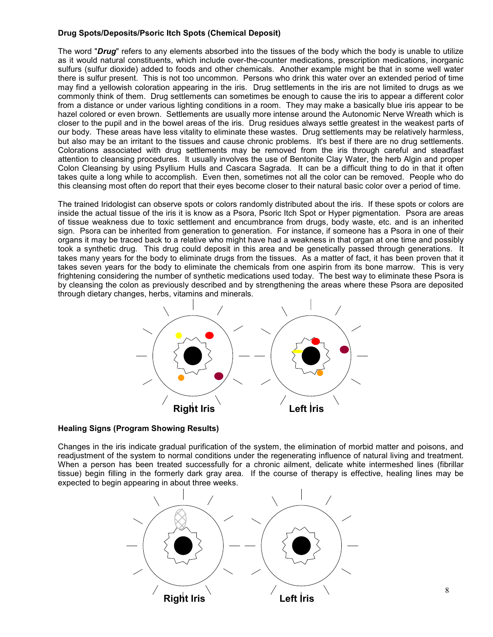# **Drug Spots/Deposits/Psoric Itch Spots (Chemical Deposit)**

The word "*Drug*" refers to any elements absorbed into the tissues of the body which the body is unable to utilize as it would natural constituents, which include over-the-counter medications, prescription medications, inorganic sulfurs (sulfur dioxide) added to foods and other chemicals. Another example might be that in some well water there is sulfur present. This is not too uncommon. Persons who drink this water over an extended period of time may find a yellowish coloration appearing in the iris. Drug settlements in the iris are not limited to drugs as we commonly think of them. Drug settlements can sometimes be enough to cause the iris to appear a different color from a distance or under various lighting conditions in a room. They may make a basically blue iris appear to be hazel colored or even brown. Settlements are usually more intense around the Autonomic Nerve Wreath which is closer to the pupil and in the bowel areas of the iris. Drug residues always settle greatest in the weakest parts of our body. These areas have less vitality to eliminate these wastes. Drug settlements may be relatively harmless, but also may be an irritant to the tissues and cause chronic problems. It's best if there are no drug settlements. Colorations associated with drug settlements may be removed from the iris through careful and steadfast attention to cleansing procedures. It usually involves the use of Bentonite Clay Water, the herb Algin and proper Colon Cleansing by using Psyllium Hulls and Cascara Sagrada. It can be a difficult thing to do in that it often takes quite a long while to accomplish. Even then, sometimes not all the color can be removed. People who do this cleansing most often do report that their eyes become closer to their natural basic color over a period of time.

The trained Iridologist can observe spots or colors randomly distributed about the iris. If these spots or colors are inside the actual tissue of the iris it is know as a Psora, Psoric Itch Spot or Hyper pigmentation. Psora are areas of tissue weakness due to toxic settlement and encumbrance from drugs, body waste, etc. and is an inherited sign. Psora can be inherited from generation to generation. For instance, if someone has a Psora in one of their organs it may be traced back to a relative who might have had a weakness in that organ at one time and possibly took a synthetic drug. This drug could deposit in this area and be genetically passed through generations. It takes many years for the body to eliminate drugs from the tissues. As a matter of fact, it has been proven that it takes seven years for the body to eliminate the chemicals from one aspirin from its bone marrow. This is very frightening considering the number of synthetic medications used today. The best way to eliminate these Psora is by cleansing the colon as previously described and by strengthening the areas where these Psora are deposited through dietary changes, herbs, vitamins and minerals.



### **Healing Signs (Program Showing Results)**

Changes in the iris indicate gradual purification of the system, the elimination of morbid matter and poisons, and readjustment of the system to normal conditions under the regenerating influence of natural living and treatment. When a person has been treated successfully for a chronic ailment, delicate white intermeshed lines (fibrillar tissue) begin filling in the formerly dark gray area. If the course of therapy is effective, healing lines may be expected to begin appearing in about three weeks.



8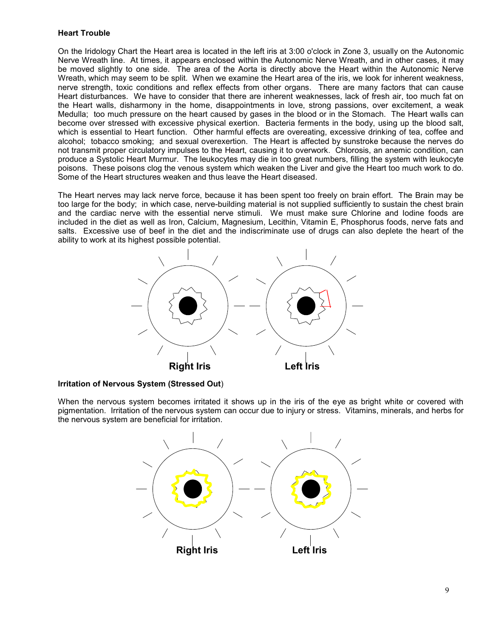# **Heart Trouble**

On the Iridology Chart the Heart area is located in the left iris at 3:00 o'clock in Zone 3, usually on the Autonomic Nerve Wreath line. At times, it appears enclosed within the Autonomic Nerve Wreath, and in other cases, it may be moved slightly to one side. The area of the Aorta is directly above the Heart within the Autonomic Nerve Wreath, which may seem to be split. When we examine the Heart area of the iris, we look for inherent weakness, nerve strength, toxic conditions and reflex effects from other organs. There are many factors that can cause Heart disturbances. We have to consider that there are inherent weaknesses, lack of fresh air, too much fat on the Heart walls, disharmony in the home, disappointments in love, strong passions, over excitement, a weak Medulla; too much pressure on the heart caused by gases in the blood or in the Stomach. The Heart walls can become over stressed with excessive physical exertion. Bacteria ferments in the body, using up the blood salt, which is essential to Heart function. Other harmful effects are overeating, excessive drinking of tea, coffee and alcohol; tobacco smoking; and sexual overexertion. The Heart is affected by sunstroke because the nerves do not transmit proper circulatory impulses to the Heart, causing it to overwork. Chlorosis, an anemic condition, can produce a Systolic Heart Murmur. The leukocytes may die in too great numbers, filling the system with leukocyte poisons. These poisons clog the venous system which weaken the Liver and give the Heart too much work to do. Some of the Heart structures weaken and thus leave the Heart diseased.

The Heart nerves may lack nerve force, because it has been spent too freely on brain effort. The Brain may be too large for the body; in which case, nerve-building material is not supplied sufficiently to sustain the chest brain and the cardiac nerve with the essential nerve stimuli. We must make sure Chlorine and Iodine foods are included in the diet as well as Iron, Calcium, Magnesium, Lecithin, Vitamin E, Phosphorus foods, nerve fats and salts. Excessive use of beef in the diet and the indiscriminate use of drugs can also deplete the heart of the ability to work at its highest possible potential.



**Irritation of Nervous System (Stressed Out**)

When the nervous system becomes irritated it shows up in the iris of the eye as bright white or covered with pigmentation. Irritation of the nervous system can occur due to injury or stress. Vitamins, minerals, and herbs for the nervous system are beneficial for irritation.

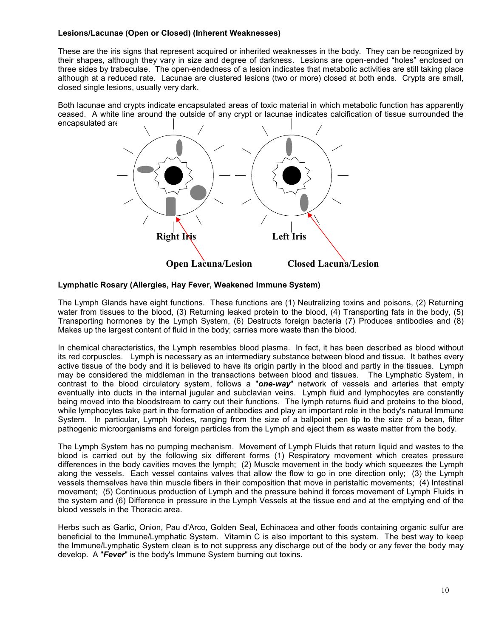# **Lesions/Lacunae (Open or Closed) (Inherent Weaknesses)**

These are the iris signs that represent acquired or inherited weaknesses in the body. They can be recognized by their shapes, although they vary in size and degree of darkness. Lesions are open-ended "holes" enclosed on three sides by trabeculae. The open-endedness of a lesion indicates that metabolic activities are still taking place although at a reduced rate. Lacunae are clustered lesions (two or more) closed at both ends. Crypts are small, closed single lesions, usually very dark.

Both lacunae and crypts indicate encapsulated areas of toxic material in which metabolic function has apparently ceased. A white line around the outside of any crypt or lacunae indicates calcification of tissue surrounded the encapsulated are



### **Lymphatic Rosary (Allergies, Hay Fever, Weakened Immune System)**

The Lymph Glands have eight functions. These functions are (1) Neutralizing toxins and poisons, (2) Returning water from tissues to the blood, (3) Returning leaked protein to the blood, (4) Transporting fats in the body, (5) Transporting hormones by the Lymph System, (6) Destructs foreign bacteria (7) Produces antibodies and (8) Makes up the largest content of fluid in the body; carries more waste than the blood.

In chemical characteristics, the Lymph resembles blood plasma. In fact, it has been described as blood without its red corpuscles. Lymph is necessary as an intermediary substance between blood and tissue. It bathes every active tissue of the body and it is believed to have its origin partly in the blood and partly in the tissues. Lymph may be considered the middleman in the transactions between blood and tissues. The Lymphatic System, in contrast to the blood circulatory system, follows a "*one-way*" network of vessels and arteries that empty eventually into ducts in the internal jugular and subclavian veins. Lymph fluid and lymphocytes are constantly being moved into the bloodstream to carry out their functions. The lymph returns fluid and proteins to the blood, while lymphocytes take part in the formation of antibodies and play an important role in the body's natural Immune System. In particular, Lymph Nodes, ranging from the size of a ballpoint pen tip to the size of a bean, filter pathogenic microorganisms and foreign particles from the Lymph and eject them as waste matter from the body.

The Lymph System has no pumping mechanism. Movement of Lymph Fluids that return liquid and wastes to the blood is carried out by the following six different forms (1) Respiratory movement which creates pressure differences in the body cavities moves the lymph; (2) Muscle movement in the body which squeezes the Lymph along the vessels. Each vessel contains valves that allow the flow to go in one direction only; (3) the Lymph vessels themselves have thin muscle fibers in their composition that move in peristaltic movements; (4) Intestinal movement; (5) Continuous production of Lymph and the pressure behind it forces movement of Lymph Fluids in the system and (6) Difference in pressure in the Lymph Vessels at the tissue end and at the emptying end of the blood vessels in the Thoracic area.

Herbs such as Garlic, Onion, Pau d'Arco, Golden Seal, Echinacea and other foods containing organic sulfur are beneficial to the Immune/Lymphatic System. Vitamin C is also important to this system. The best way to keep the Immune/Lymphatic System clean is to not suppress any discharge out of the body or any fever the body may develop. A "*Fever*" is the body's Immune System burning out toxins.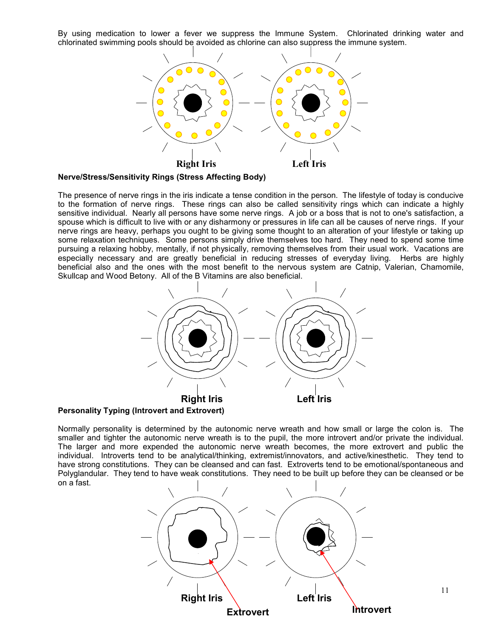By using medication to lower a fever we suppress the Immune System. Chlorinated drinking water and chlorinated swimming pools should be avoided as chlorine can also suppress the immune system.



**Nerve/Stress/Sensitivity Rings (Stress Affecting Body)**

The presence of nerve rings in the iris indicate a tense condition in the person. The lifestyle of today is conducive to the formation of nerve rings. These rings can also be called sensitivity rings which can indicate a highly sensitive individual. Nearly all persons have some nerve rings. A job or a boss that is not to one's satisfaction, a spouse which is difficult to live with or any disharmony or pressures in life can all be causes of nerve rings. If your nerve rings are heavy, perhaps you ought to be giving some thought to an alteration of your lifestyle or taking up some relaxation techniques. Some persons simply drive themselves too hard. They need to spend some time pursuing a relaxing hobby, mentally, if not physically, removing themselves from their usual work. Vacations are especially necessary and are greatly beneficial in reducing stresses of everyday living. Herbs are highly beneficial also and the ones with the most benefit to the nervous system are Catnip, Valerian, Chamomile, Skullcap and Wood Betony. All of the B Vitamins are also beneficial.



**Personality Typing (Introvert and Extrovert)**

Normally personality is determined by the autonomic nerve wreath and how small or large the colon is. The smaller and tighter the autonomic nerve wreath is to the pupil, the more introvert and/or private the individual. The larger and more expended the autonomic nerve wreath becomes, the more extrovert and public the individual. Introverts tend to be analytical/thinking, extremist/innovators, and active/kinesthetic. They tend to have strong constitutions. They can be cleansed and can fast. Extroverts tend to be emotional/spontaneous and Polyglandular. They tend to have weak constitutions. They need to be built up before they can be cleansed or be on a fast.

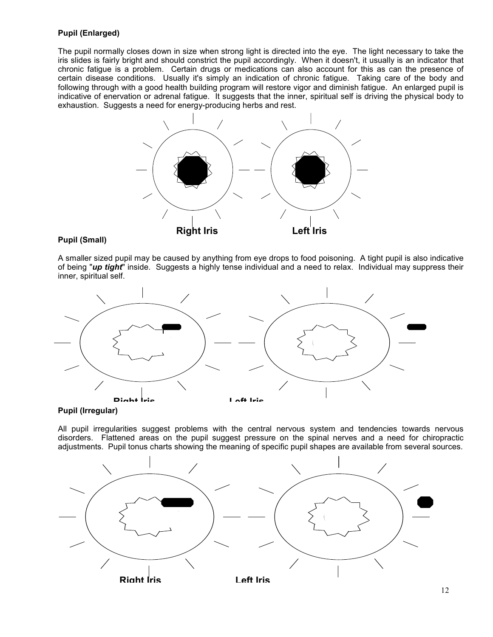# **Pupil (Enlarged)**

The pupil normally closes down in size when strong light is directed into the eye. The light necessary to take the iris slides is fairly bright and should constrict the pupil accordingly. When it doesn't, it usually is an indicator that chronic fatigue is a problem. Certain drugs or medications can also account for this as can the presence of certain disease conditions. Usually it's simply an indication of chronic fatigue. Taking care of the body and following through with a good health building program will restore vigor and diminish fatigue. An enlarged pupil is indicative of enervation or adrenal fatigue. It suggests that the inner, spiritual self is driving the physical body to exhaustion. Suggests a need for energy-producing herbs and rest.



# **Pupil (Small)**

A smaller sized pupil may be caused by anything from eye drops to food poisoning. A tight pupil is also indicative of being "*up tight*" inside. Suggests a highly tense individual and a need to relax. Individual may suppress their inner, spiritual self.



**Pupil (Irregular)**

All pupil irregularities suggest problems with the central nervous system and tendencies towards nervous disorders. Flattened areas on the pupil suggest pressure on the spinal nerves and a need for chiropractic adjustments. Pupil tonus charts showing the meaning of specific pupil shapes are available from several sources.

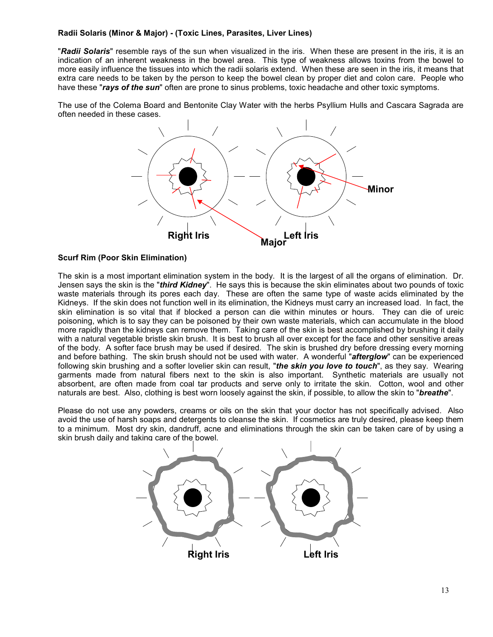# **Radii Solaris (Minor & Major) - (Toxic Lines, Parasites, Liver Lines)**

"*Radii Solaris*" resemble rays of the sun when visualized in the iris. When these are present in the iris, it is an indication of an inherent weakness in the bowel area. This type of weakness allows toxins from the bowel to more easily influence the tissues into which the radii solaris extend. When these are seen in the iris, it means that extra care needs to be taken by the person to keep the bowel clean by proper diet and colon care. People who have these "*rays of the sun*" often are prone to sinus problems, toxic headache and other toxic symptoms.

The use of the Colema Board and Bentonite Clay Water with the herbs Psyllium Hulls and Cascara Sagrada are often needed in these cases.



# **Scurf Rim (Poor Skin Elimination)**

The skin is a most important elimination system in the body. It is the largest of all the organs of elimination. Dr. Jensen says the skin is the "*third Kidney*". He says this is because the skin eliminates about two pounds of toxic waste materials through its pores each day. These are often the same type of waste acids eliminated by the Kidneys. If the skin does not function well in its elimination, the Kidneys must carry an increased load. In fact, the skin elimination is so vital that if blocked a person can die within minutes or hours. They can die of ureic poisoning, which is to say they can be poisoned by their own waste materials, which can accumulate in the blood more rapidly than the kidneys can remove them. Taking care of the skin is best accomplished by brushing it daily with a natural vegetable bristle skin brush. It is best to brush all over except for the face and other sensitive areas of the body. A softer face brush may be used if desired. The skin is brushed dry before dressing every morning and before bathing. The skin brush should not be used with water. A wonderful "*afterglow*" can be experienced following skin brushing and a softer lovelier skin can result, "*the skin you love to touch*", as they say. Wearing garments made from natural fibers next to the skin is also important. Synthetic materials are usually not absorbent, are often made from coal tar products and serve only to irritate the skin. Cotton, wool and other naturals are best. Also, clothing is best worn loosely against the skin, if possible, to allow the skin to "*breathe*".

Please do not use any powders, creams or oils on the skin that your doctor has not specifically advised. Also avoid the use of harsh soaps and detergents to cleanse the skin. If cosmetics are truly desired, please keep them to a minimum. Most dry skin, dandruff, acne and eliminations through the skin can be taken care of by using a skin brush daily and taking care of the bowel.

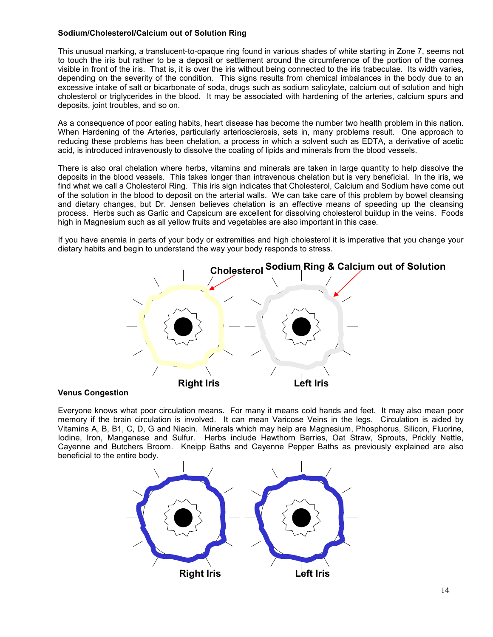# **Sodium/Cholesterol/Calcium out of Solution Ring**

This unusual marking, a translucent-to-opaque ring found in various shades of white starting in Zone 7, seems not to touch the iris but rather to be a deposit or settlement around the circumference of the portion of the cornea visible in front of the iris. That is, it is over the iris without being connected to the iris trabeculae. Its width varies, depending on the severity of the condition. This signs results from chemical imbalances in the body due to an excessive intake of salt or bicarbonate of soda, drugs such as sodium salicylate, calcium out of solution and high cholesterol or triglycerides in the blood. It may be associated with hardening of the arteries, calcium spurs and deposits, joint troubles, and so on.

As a consequence of poor eating habits, heart disease has become the number two health problem in this nation. When Hardening of the Arteries, particularly arteriosclerosis, sets in, many problems result. One approach to reducing these problems has been chelation, a process in which a solvent such as EDTA, a derivative of acetic acid, is introduced intravenously to dissolve the coating of lipids and minerals from the blood vessels.

There is also oral chelation where herbs, vitamins and minerals are taken in large quantity to help dissolve the deposits in the blood vessels. This takes longer than intravenous chelation but is very beneficial. In the iris, we find what we call a Cholesterol Ring. This iris sign indicates that Cholesterol, Calcium and Sodium have come out of the solution in the blood to deposit on the arterial walls. We can take care of this problem by bowel cleansing and dietary changes, but Dr. Jensen believes chelation is an effective means of speeding up the cleansing process. Herbs such as Garlic and Capsicum are excellent for dissolving cholesterol buildup in the veins. Foods high in Magnesium such as all yellow fruits and vegetables are also important in this case.

If you have anemia in parts of your body or extremities and high cholesterol it is imperative that you change your dietary habits and begin to understand the way your body responds to stress.



#### **Venus Congestion**

Everyone knows what poor circulation means. For many it means cold hands and feet. It may also mean poor memory if the brain circulation is involved. It can mean Varicose Veins in the legs. Circulation is aided by Vitamins A, B, B1, C, D, G and Niacin. Minerals which may help are Magnesium, Phosphorus, Silicon, Fluorine, Iodine, Iron, Manganese and Sulfur. Herbs include Hawthorn Berries, Oat Straw, Sprouts, Prickly Nettle, Cayenne and Butchers Broom. Kneipp Baths and Cayenne Pepper Baths as previously explained are also beneficial to the entire body.

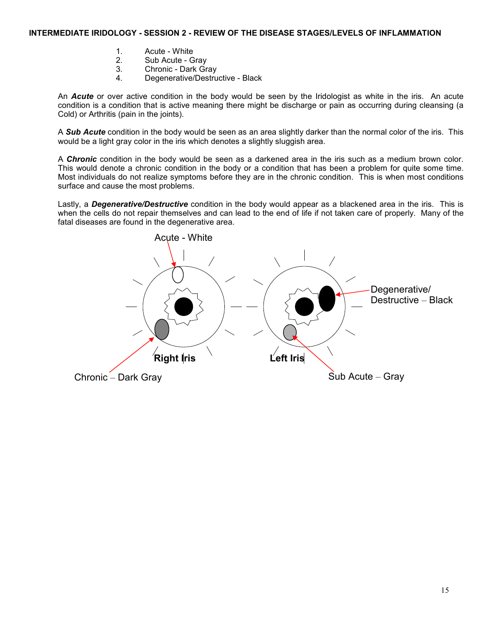### **INTERMEDIATE IRIDOLOGY - SESSION 2 - REVIEW OF THE DISEASE STAGES/LEVELS OF INFLAMMATION**

- 1. Acute White
- 2. Sub Acute Gray
- 3. Chronic Dark Gray
- 4. Degenerative/Destructive Black

An *Acute* or over active condition in the body would be seen by the Iridologist as white in the iris. An acute condition is a condition that is active meaning there might be discharge or pain as occurring during cleansing (a Cold) or Arthritis (pain in the joints).

A *Sub Acute* condition in the body would be seen as an area slightly darker than the normal color of the iris. This would be a light gray color in the iris which denotes a slightly sluggish area.

A *Chronic* condition in the body would be seen as a darkened area in the iris such as a medium brown color. This would denote a chronic condition in the body or a condition that has been a problem for quite some time. Most individuals do not realize symptoms before they are in the chronic condition. This is when most conditions surface and cause the most problems.

Lastly, a *Degenerative/Destructive* condition in the body would appear as a blackened area in the iris. This is when the cells do not repair themselves and can lead to the end of life if not taken care of properly. Many of the fatal diseases are found in the degenerative area.

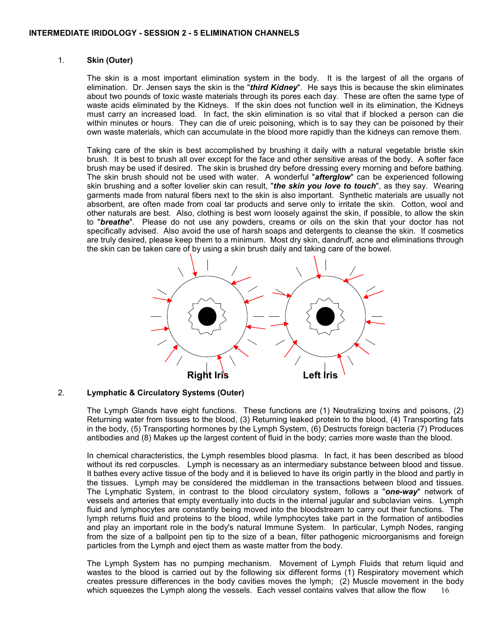# 1. **Skin (Outer)**

The skin is a most important elimination system in the body. It is the largest of all the organs of elimination. Dr. Jensen says the skin is the "*third Kidney*". He says this is because the skin eliminates about two pounds of toxic waste materials through its pores each day. These are often the same type of waste acids eliminated by the Kidneys. If the skin does not function well in its elimination, the Kidneys must carry an increased load. In fact, the skin elimination is so vital that if blocked a person can die within minutes or hours. They can die of ureic poisoning, which is to say they can be poisoned by their own waste materials, which can accumulate in the blood more rapidly than the kidneys can remove them.

Taking care of the skin is best accomplished by brushing it daily with a natural vegetable bristle skin brush. It is best to brush all over except for the face and other sensitive areas of the body. A softer face brush may be used if desired. The skin is brushed dry before dressing every morning and before bathing. The skin brush should not be used with water. A wonderful "*afterglow*" can be experienced following skin brushing and a softer lovelier skin can result, "the skin you love to touch", as they say. Wearing garments made from natural fibers next to the skin is also important. Synthetic materials are usually not absorbent, are often made from coal tar products and serve only to irritate the skin. Cotton, wool and other naturals are best. Also, clothing is best worn loosely against the skin, if possible, to allow the skin to "*breathe*". Please do not use any powders, creams or oils on the skin that your doctor has not specifically advised. Also avoid the use of harsh soaps and detergents to cleanse the skin. If cosmetics are truly desired, please keep them to a minimum. Most dry skin, dandruff, acne and eliminations through the skin can be taken care of by using a skin brush daily and taking care of the bowel.



### 2. **Lymphatic & Circulatory Systems (Outer)**

The Lymph Glands have eight functions. These functions are (1) Neutralizing toxins and poisons, (2) Returning water from tissues to the blood, (3) Returning leaked protein to the blood, (4) Transporting fats in the body, (5) Transporting hormones by the Lymph System, (6) Destructs foreign bacteria (7) Produces antibodies and (8) Makes up the largest content of fluid in the body; carries more waste than the blood.

In chemical characteristics, the Lymph resembles blood plasma. In fact, it has been described as blood without its red corpuscles. Lymph is necessary as an intermediary substance between blood and tissue. It bathes every active tissue of the body and it is believed to have its origin partly in the blood and partly in the tissues. Lymph may be considered the middleman in the transactions between blood and tissues. The Lymphatic System, in contrast to the blood circulatory system, follows a "*one-way*" network of vessels and arteries that empty eventually into ducts in the internal jugular and subclavian veins. Lymph fluid and lymphocytes are constantly being moved into the bloodstream to carry out their functions. The lymph returns fluid and proteins to the blood, while lymphocytes take part in the formation of antibodies and play an important role in the body's natural Immune System. In particular, Lymph Nodes, ranging from the size of a ballpoint pen tip to the size of a bean, filter pathogenic microorganisms and foreign particles from the Lymph and eject them as waste matter from the body.

16 The Lymph System has no pumping mechanism. Movement of Lymph Fluids that return liquid and wastes to the blood is carried out by the following six different forms (1) Respiratory movement which creates pressure differences in the body cavities moves the lymph; (2) Muscle movement in the body which squeezes the Lymph along the vessels. Each vessel contains valves that allow the flow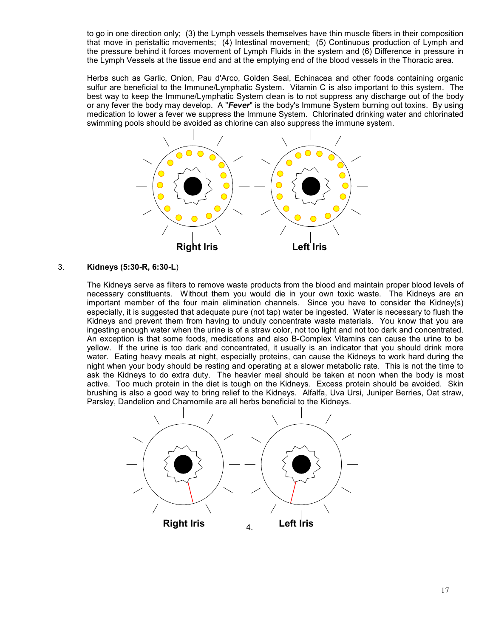to go in one direction only; (3) the Lymph vessels themselves have thin muscle fibers in their composition that move in peristaltic movements; (4) Intestinal movement; (5) Continuous production of Lymph and the pressure behind it forces movement of Lymph Fluids in the system and (6) Difference in pressure in the Lymph Vessels at the tissue end and at the emptying end of the blood vessels in the Thoracic area.

Herbs such as Garlic, Onion, Pau d'Arco, Golden Seal, Echinacea and other foods containing organic sulfur are beneficial to the Immune/Lymphatic System. Vitamin C is also important to this system. The best way to keep the Immune/Lymphatic System clean is to not suppress any discharge out of the body or any fever the body may develop. A "*Fever*" is the body's Immune System burning out toxins. By using medication to lower a fever we suppress the Immune System. Chlorinated drinking water and chlorinated swimming pools should be avoided as chlorine can also suppress the immune system.



# 3. **Kidneys (5:30-R, 6:30-L**)

The Kidneys serve as filters to remove waste products from the blood and maintain proper blood levels of necessary constituents. Without them you would die in your own toxic waste. The Kidneys are an important member of the four main elimination channels. Since you have to consider the Kidney(s) especially, it is suggested that adequate pure (not tap) water be ingested. Water is necessary to flush the Kidneys and prevent them from having to unduly concentrate waste materials. You know that you are ingesting enough water when the urine is of a straw color, not too light and not too dark and concentrated. An exception is that some foods, medications and also B-Complex Vitamins can cause the urine to be yellow. If the urine is too dark and concentrated, it usually is an indicator that you should drink more water. Eating heavy meals at night, especially proteins, can cause the Kidneys to work hard during the night when your body should be resting and operating at a slower metabolic rate. This is not the time to ask the Kidneys to do extra duty. The heavier meal should be taken at noon when the body is most active. Too much protein in the diet is tough on the Kidneys. Excess protein should be avoided. Skin brushing is also a good way to bring relief to the Kidneys. Alfalfa, Uva Ursi, Juniper Berries, Oat straw, Parsley, Dandelion and Chamomile are all herbs beneficial to the Kidneys.

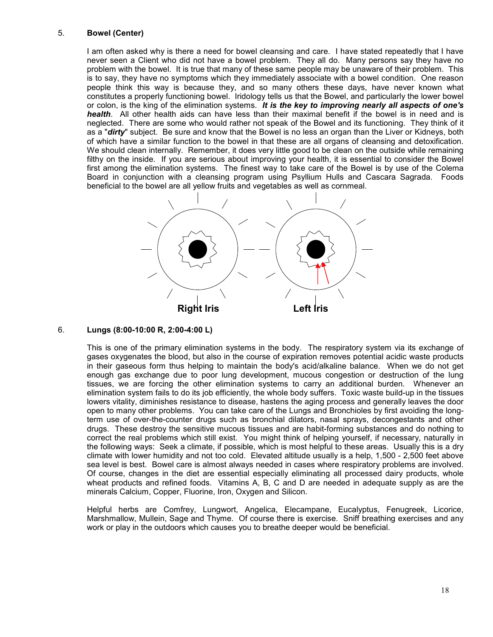### 5. **Bowel (Center)**

I am often asked why is there a need for bowel cleansing and care. I have stated repeatedly that I have never seen a Client who did not have a bowel problem. They all do. Many persons say they have no problem with the bowel. It is true that many of these same people may be unaware of their problem. This is to say, they have no symptoms which they immediately associate with a bowel condition. One reason people think this way is because they, and so many others these days, have never known what constitutes a properly functioning bowel. Iridology tells us that the Bowel, and particularly the lower bowel or colon, is the king of the elimination systems. *It is the key to improving nearly all aspects of one's health*. All other health aids can have less than their maximal benefit if the bowel is in need and is neglected. There are some who would rather not speak of the Bowel and its functioning. They think of it as a "*dirty*" subject. Be sure and know that the Bowel is no less an organ than the Liver or Kidneys, both of which have a similar function to the bowel in that these are all organs of cleansing and detoxification. We should clean internally. Remember, it does very little good to be clean on the outside while remaining filthy on the inside. If you are serious about improving your health, it is essential to consider the Bowel first among the elimination systems. The finest way to take care of the Bowel is by use of the Colema Board in conjunction with a cleansing program using Psyllium Hulls and Cascara Sagrada. Foods beneficial to the bowel are all yellow fruits and vegetables as well as cornmeal.



#### 6. **Lungs (8:00-10:00 R, 2:00-4:00 L)**

This is one of the primary elimination systems in the body. The respiratory system via its exchange of gases oxygenates the blood, but also in the course of expiration removes potential acidic waste products in their gaseous form thus helping to maintain the body's acid/alkaline balance. When we do not get enough gas exchange due to poor lung development, mucous congestion or destruction of the lung tissues, we are forcing the other elimination systems to carry an additional burden. Whenever an elimination system fails to do its job efficiently, the whole body suffers. Toxic waste build-up in the tissues lowers vitality, diminishes resistance to disease, hastens the aging process and generally leaves the door open to many other problems. You can take care of the Lungs and Bronchioles by first avoiding the longterm use of over-the-counter drugs such as bronchial dilators, nasal sprays, decongestants and other drugs. These destroy the sensitive mucous tissues and are habit-forming substances and do nothing to correct the real problems which still exist. You might think of helping yourself, if necessary, naturally in the following ways: Seek a climate, if possible, which is most helpful to these areas. Usually this is a dry climate with lower humidity and not too cold. Elevated altitude usually is a help, 1,500 - 2,500 feet above sea level is best. Bowel care is almost always needed in cases where respiratory problems are involved. Of course, changes in the diet are essential especially eliminating all processed dairy products, whole wheat products and refined foods. Vitamins A, B, C and D are needed in adequate supply as are the minerals Calcium, Copper, Fluorine, Iron, Oxygen and Silicon.

Helpful herbs are Comfrey, Lungwort, Angelica, Elecampane, Eucalyptus, Fenugreek, Licorice, Marshmallow, Mullein, Sage and Thyme. Of course there is exercise. Sniff breathing exercises and any work or play in the outdoors which causes you to breathe deeper would be beneficial.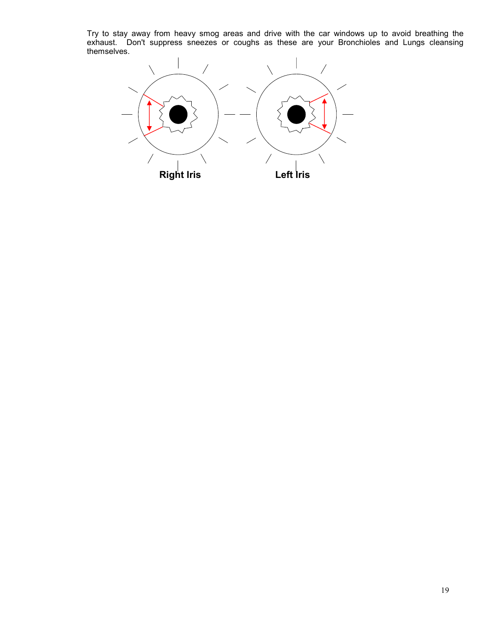Try to stay away from heavy smog areas and drive with the car windows up to avoid breathing the exhaust. Don't suppress sneezes or coughs as these are your Bronchioles and Lungs cleansing themselves.

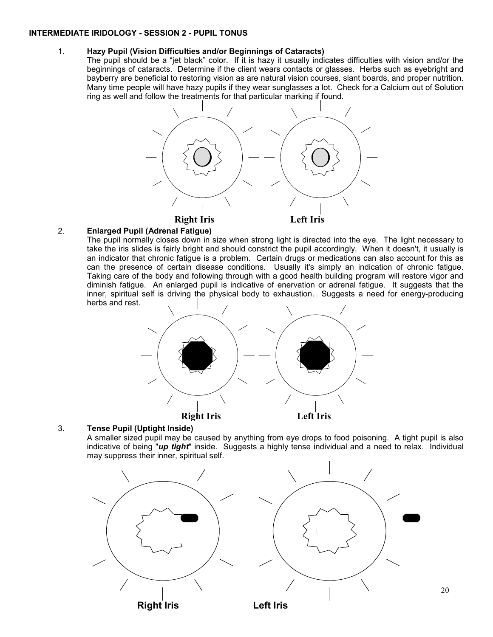### **INTERMEDIATE IRIDOLOGY - SESSION 2 - PUPIL TONUS**

# 1. **Hazy Pupil (Vision Difficulties and/or Beginnings of Cataracts)**

The pupil should be a "jet black" color. If it is hazy it usually indicates difficulties with vision and/or the beginnings of cataracts. Determine if the client wears contacts or glasses. Herbs such as eyebright and bayberry are beneficial to restoring vision as are natural vision courses, slant boards, and proper nutrition. Many time people will have hazy pupils if they wear sunglasses a lot. Check for a Calcium out of Solution ring as well and follow the treatments for that particular marking if found.



# 2. **Enlarged Pupil (Adrenal Fatigue)**

The pupil normally closes down in size when strong light is directed into the eye. The light necessary to take the iris slides is fairly bright and should constrict the pupil accordingly. When it doesn't, it usually is an indicator that chronic fatigue is a problem. Certain drugs or medications can also account for this as can the presence of certain disease conditions. Usually it's simply an indication of chronic fatigue. Taking care of the body and following through with a good health building program will restore vigor and diminish fatigue. An enlarged pupil is indicative of enervation or adrenal fatigue. It suggests that the inner, spiritual self is driving the physical body to exhaustion. Suggests a need for energy-producing herbs and rest.



# 3. **Tense Pupil (Uptight Inside)**

A smaller sized pupil may be caused by anything from eye drops to food poisoning. A tight pupil is also indicative of being "*up tight*" inside. Suggests a highly tense individual and a need to relax. Individual may suppress their inner, spiritual self.



20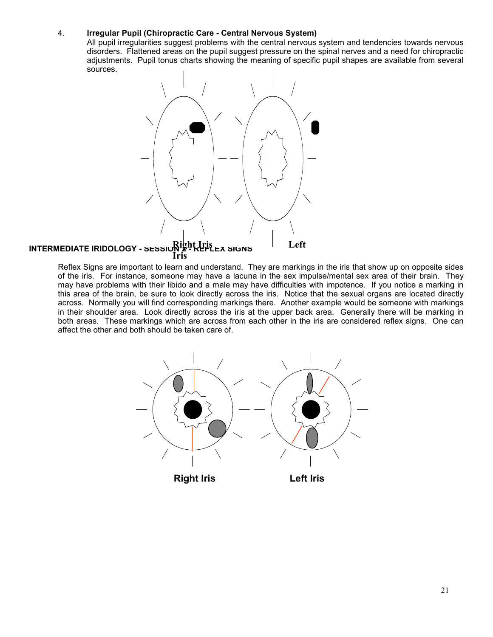# 4. **Irregular Pupil (Chiropractic Care - Central Nervous System)**

All pupil irregularities suggest problems with the central nervous system and tendencies towards nervous disorders. Flattened areas on the pupil suggest pressure on the spinal nerves and a need for chiropractic adjustments. Pupil tonus charts showing the meaning of specific pupil shapes are available from several sources.



# **INTERMEDIATE IRIDOLOGY - SESSION 2 - REFLEX SIGNS Right Iris Left Iris**

Reflex Signs are important to learn and understand. They are markings in the iris that show up on opposite sides of the iris. For instance, someone may have a lacuna in the sex impulse/mental sex area of their brain. They may have problems with their libido and a male may have difficulties with impotence. If you notice a marking in this area of the brain, be sure to look directly across the iris. Notice that the sexual organs are located directly across. Normally you will find corresponding markings there. Another example would be someone with markings in their shoulder area. Look directly across the iris at the upper back area. Generally there will be marking in both areas. These markings which are across from each other in the iris are considered reflex signs. One can affect the other and both should be taken care of.

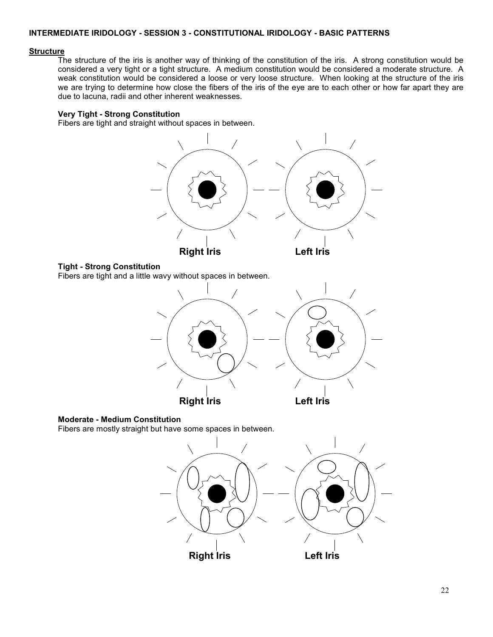# **INTERMEDIATE IRIDOLOGY - SESSION 3 - CONSTITUTIONAL IRIDOLOGY - BASIC PATTERNS**

#### **Structure**

The structure of the iris is another way of thinking of the constitution of the iris. A strong constitution would be considered a very tight or a tight structure. A medium constitution would be considered a moderate structure. A weak constitution would be considered a loose or very loose structure. When looking at the structure of the iris we are trying to determine how close the fibers of the iris of the eye are to each other or how far apart they are due to lacuna, radii and other inherent weaknesses.

# **Very Tight - Strong Constitution**

Fibers are tight and straight without spaces in between.



#### **Tight - Strong Constitution**

Fibers are tight and a little wavy without spaces in between.



#### **Moderate - Medium Constitution**

Fibers are mostly straight but have some spaces in between.

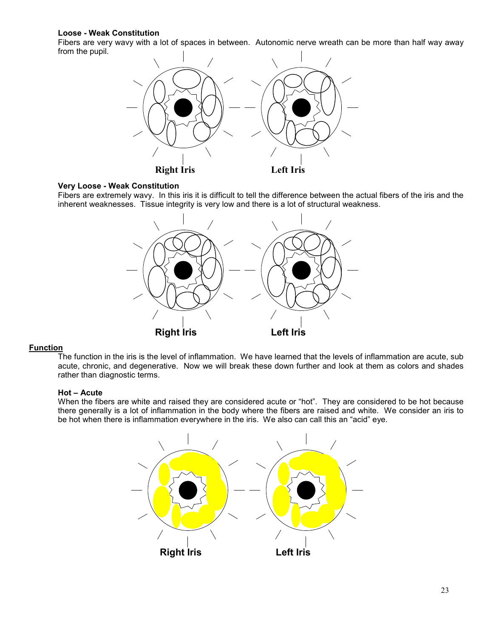# **Loose - Weak Constitution**

Fibers are very wavy with a lot of spaces in between. Autonomic nerve wreath can be more than half way away from the pupil.



### **Very Loose - Weak Constitution**

Fibers are extremely wavy. In this iris it is difficult to tell the difference between the actual fibers of the iris and the inherent weaknesses. Tissue integrity is very low and there is a lot of structural weakness.



### **Function**

The function in the iris is the level of inflammation. We have learned that the levels of inflammation are acute, sub acute, chronic, and degenerative. Now we will break these down further and look at them as colors and shades rather than diagnostic terms.

### **Hot – Acute**

When the fibers are white and raised they are considered acute or "hot". They are considered to be hot because there generally is a lot of inflammation in the body where the fibers are raised and white. We consider an iris to be hot when there is inflammation everywhere in the iris. We also can call this an "acid" eye.

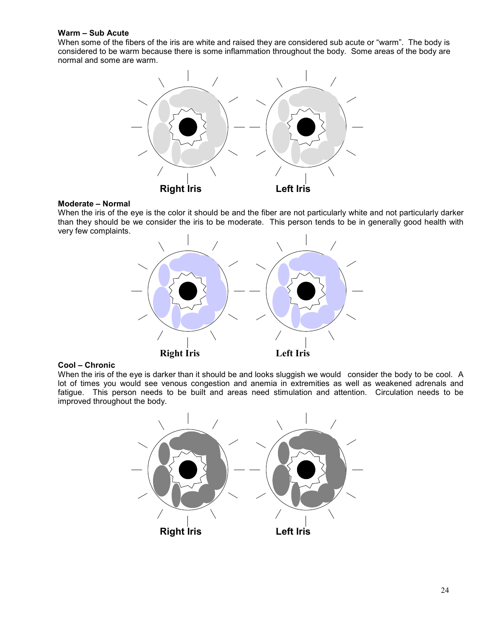# **Warm – Sub Acute**

When some of the fibers of the iris are white and raised they are considered sub acute or "warm". The body is considered to be warm because there is some inflammation throughout the body. Some areas of the body are normal and some are warm.



### **Moderate – Normal**

When the iris of the eye is the color it should be and the fiber are not particularly white and not particularly darker than they should be we consider the iris to be moderate. This person tends to be in generally good health with very few complaints.



### **Cool – Chronic**

When the iris of the eye is darker than it should be and looks sluggish we would consider the body to be cool. A lot of times you would see venous congestion and anemia in extremities as well as weakened adrenals and fatigue. This person needs to be built and areas need stimulation and attention. Circulation needs to be improved throughout the body.

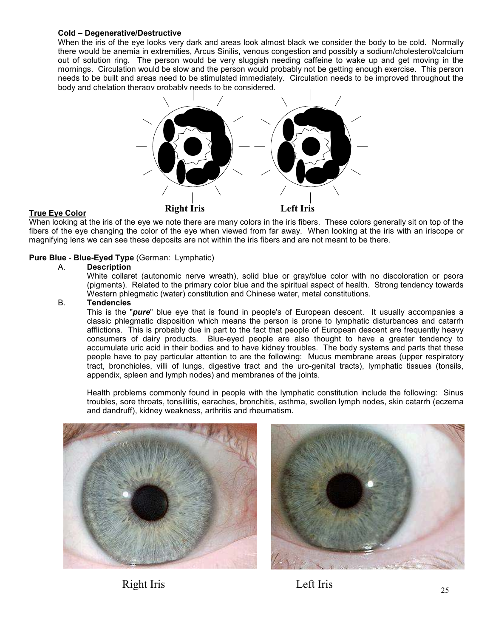### **Cold – Degenerative/Destructive**

When the iris of the eye looks very dark and areas look almost black we consider the body to be cold. Normally there would be anemia in extremities, Arcus Sinilis, venous congestion and possibly a sodium/cholesterol/calcium out of solution ring. The person would be very sluggish needing caffeine to wake up and get moving in the mornings. Circulation would be slow and the person would probably not be getting enough exercise. This person needs to be built and areas need to be stimulated immediately. Circulation needs to be improved throughout the body and chelation therapy probably needs to be considered.



### **True Eye Color**

When looking at the iris of the eye we note there are many colors in the iris fibers. These colors generally sit on top of the fibers of the eye changing the color of the eye when viewed from far away. When looking at the iris with an iriscope or magnifying lens we can see these deposits are not within the iris fibers and are not meant to be there.

# **Pure Blue** - **Blue-Eyed Type** (German: Lymphatic)

#### A. **Description**

White collaret (autonomic nerve wreath), solid blue or gray/blue color with no discoloration or psora (pigments). Related to the primary color blue and the spiritual aspect of health. Strong tendency towards Western phlegmatic (water) constitution and Chinese water, metal constitutions.

# B. **Tendencies**

This is the "*pure*" blue eye that is found in people's of European descent. It usually accompanies a classic phlegmatic disposition which means the person is prone to lymphatic disturbances and catarrh afflictions. This is probably due in part to the fact that people of European descent are frequently heavy consumers of dairy products. Blue-eyed people are also thought to have a greater tendency to accumulate uric acid in their bodies and to have kidney troubles. The body systems and parts that these people have to pay particular attention to are the following: Mucus membrane areas (upper respiratory tract, bronchioles, villi of lungs, digestive tract and the uro-genital tracts), lymphatic tissues (tonsils, appendix, spleen and lymph nodes) and membranes of the joints.

Health problems commonly found in people with the lymphatic constitution include the following: Sinus troubles, sore throats, tonsillitis, earaches, bronchitis, asthma, swollen lymph nodes, skin catarrh (eczema and dandruff), kidney weakness, arthritis and rheumatism.





Right Iris Left Iris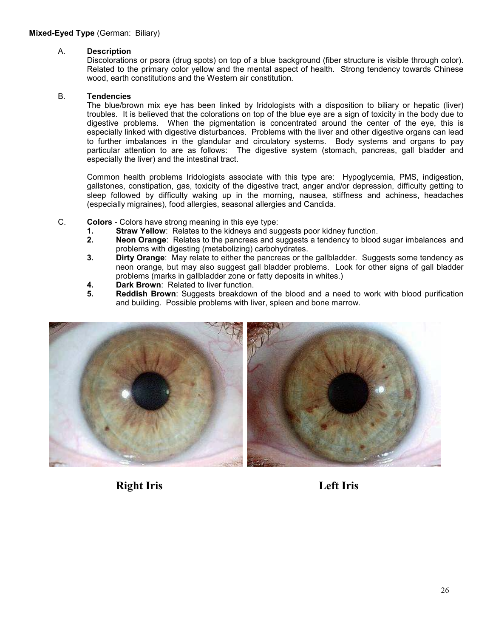### A. **Description**

Discolorations or psora (drug spots) on top of a blue background (fiber structure is visible through color). Related to the primary color yellow and the mental aspect of health. Strong tendency towards Chinese wood, earth constitutions and the Western air constitution.

# B. **Tendencies**

The blue/brown mix eye has been linked by Iridologists with a disposition to biliary or hepatic (liver) troubles. It is believed that the colorations on top of the blue eye are a sign of toxicity in the body due to digestive problems. When the pigmentation is concentrated around the center of the eye, this is especially linked with digestive disturbances. Problems with the liver and other digestive organs can lead to further imbalances in the glandular and circulatory systems. Body systems and organs to pay particular attention to are as follows: The digestive system (stomach, pancreas, gall bladder and especially the liver) and the intestinal tract.

Common health problems Iridologists associate with this type are: Hypoglycemia, PMS, indigestion, gallstones, constipation, gas, toxicity of the digestive tract, anger and/or depression, difficulty getting to sleep followed by difficulty waking up in the morning, nausea, stiffness and achiness, headaches (especially migraines), food allergies, seasonal allergies and Candida.

- C. **Colors** Colors have strong meaning in this eye type:
	- **1. Straw Yellow**: Relates to the kidneys and suggests poor kidney function.<br>**2.** Neon Orange: Relates to the pancreas and suggests a tendency to blood
	- **2. Neon Orange**: Relates to the pancreas and suggests a tendency to blood sugar imbalances and problems with digesting (metabolizing) carbohydrates.
	- **3. Dirty Orange**: May relate to either the pancreas or the gallbladder. Suggests some tendency as neon orange, but may also suggest gall bladder problems. Look for other signs of gall bladder problems (marks in gallbladder zone or fatty deposits in whites.)
	- **4. Dark Brown**: Related to liver function.
	- **5. Reddish Brown**: Suggests breakdown of the blood and a need to work with blood purification and building. Possible problems with liver, spleen and bone marrow.



**Right Iris Left Iris**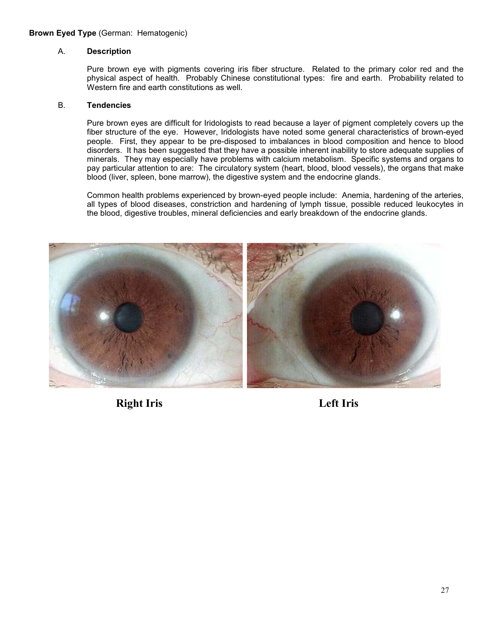# **Brown Eyed Type** (German: Hematogenic)

# A. **Description**

Pure brown eye with pigments covering iris fiber structure. Related to the primary color red and the physical aspect of health. Probably Chinese constitutional types: fire and earth. Probability related to Western fire and earth constitutions as well.

### B. **Tendencies**

Pure brown eyes are difficult for Iridologists to read because a layer of pigment completely covers up the fiber structure of the eye. However, Iridologists have noted some general characteristics of brown-eyed people. First, they appear to be pre-disposed to imbalances in blood composition and hence to blood disorders. It has been suggested that they have a possible inherent inability to store adequate supplies of minerals. They may especially have problems with calcium metabolism. Specific systems and organs to pay particular attention to are: The circulatory system (heart, blood, blood vessels), the organs that make blood (liver, spleen, bone marrow), the digestive system and the endocrine glands.

Common health problems experienced by brown-eyed people include: Anemia, hardening of the arteries, all types of blood diseases, constriction and hardening of lymph tissue, possible reduced leukocytes in the blood, digestive troubles, mineral deficiencies and early breakdown of the endocrine glands.



**Right Iris Left Iris**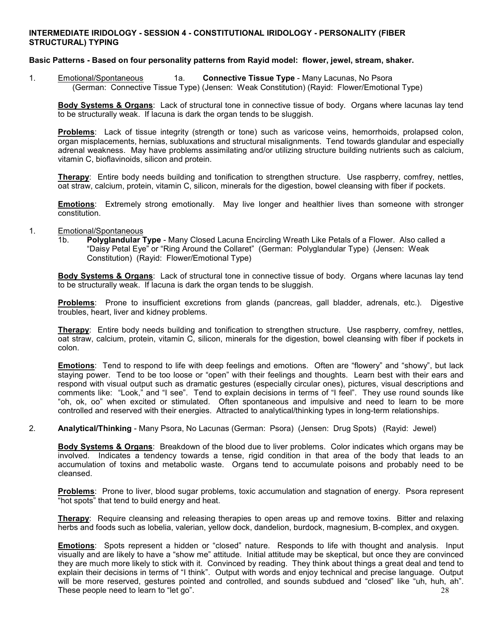## **INTERMEDIATE IRIDOLOGY - SESSION 4 - CONSTITUTIONAL IRIDOLOGY - PERSONALITY (FIBER STRUCTURAL) TYPING**

### **Basic Patterns - Based on four personality patterns from Rayid model: flower, jewel, stream, shaker.**

1. Emotional/Spontaneous 1a. **Connective Tissue Type** - Many Lacunas, No Psora (German: Connective Tissue Type) (Jensen: Weak Constitution) (Rayid: Flower/Emotional Type)

**Body Systems & Organs**: Lack of structural tone in connective tissue of body. Organs where lacunas lay tend to be structurally weak. If lacuna is dark the organ tends to be sluggish.

**Problems**: Lack of tissue integrity (strength or tone) such as varicose veins, hemorrhoids, prolapsed colon, organ misplacements, hernias, subluxations and structural misalignments. Tend towards glandular and especially adrenal weakness. May have problems assimilating and/or utilizing structure building nutrients such as calcium, vitamin C, bioflavinoids, silicon and protein.

**Therapy**: Entire body needs building and tonification to strengthen structure. Use raspberry, comfrey, nettles, oat straw, calcium, protein, vitamin C, silicon, minerals for the digestion, bowel cleansing with fiber if pockets.

**Emotions**: Extremely strong emotionally. May live longer and healthier lives than someone with stronger constitution.

#### 1. Emotional/Spontaneous

1b. **Polyglandular Type** - Many Closed Lacuna Encircling Wreath Like Petals of a Flower. Also called a "Daisy Petal Eye" or "Ring Around the Collaret" (German: Polyglandular Type) (Jensen: Weak Constitution) (Rayid: Flower/Emotional Type)

**Body Systems & Organs**: Lack of structural tone in connective tissue of body. Organs where lacunas lay tend to be structurally weak. If lacuna is dark the organ tends to be sluggish.

**Problems**: Prone to insufficient excretions from glands (pancreas, gall bladder, adrenals, etc.). Digestive troubles, heart, liver and kidney problems.

**Therapy**: Entire body needs building and tonification to strengthen structure. Use raspberry, comfrey, nettles, oat straw, calcium, protein, vitamin C, silicon, minerals for the digestion, bowel cleansing with fiber if pockets in colon.

**Emotions**: Tend to respond to life with deep feelings and emotions. Often are "flowery" and "showy", but lack staying power. Tend to be too loose or "open" with their feelings and thoughts. Learn best with their ears and respond with visual output such as dramatic gestures (especially circular ones), pictures, visual descriptions and comments like: "Look," and "I see". Tend to explain decisions in terms of "I feel". They use round sounds like "oh, ok, oo" when excited or stimulated. Often spontaneous and impulsive and need to learn to be more controlled and reserved with their energies. Attracted to analytical/thinking types in long-term relationships.

2. **Analytical/Thinking** - Many Psora, No Lacunas (German: Psora) (Jensen: Drug Spots) (Rayid: Jewel)

**Body Systems & Organs**: Breakdown of the blood due to liver problems. Color indicates which organs may be involved. Indicates a tendency towards a tense, rigid condition in that area of the body that leads to an accumulation of toxins and metabolic waste. Organs tend to accumulate poisons and probably need to be cleansed.

**Problems**: Prone to liver, blood sugar problems, toxic accumulation and stagnation of energy. Psora represent "hot spots" that tend to build energy and heat.

**Therapy**: Require cleansing and releasing therapies to open areas up and remove toxins. Bitter and relaxing herbs and foods such as lobelia, valerian, yellow dock, dandelion, burdock, magnesium, B-complex, and oxygen.

28 **Emotions**: Spots represent a hidden or "closed" nature. Responds to life with thought and analysis. Input visually and are likely to have a "show me" attitude. Initial attitude may be skeptical, but once they are convinced they are much more likely to stick with it. Convinced by reading. They think about things a great deal and tend to explain their decisions in terms of "I think". Output with words and enjoy technical and precise language. Output will be more reserved, gestures pointed and controlled, and sounds subdued and "closed" like "uh, huh, ah". These people need to learn to "let go".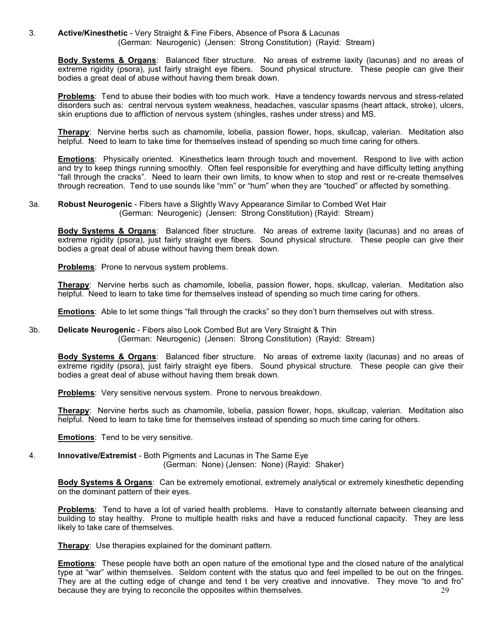3. **Active/Kinesthetic** - Very Straight & Fine Fibers, Absence of Psora & Lacunas (German: Neurogenic) (Jensen: Strong Constitution) (Rayid: Stream)

**Body Systems & Organs**: Balanced fiber structure. No areas of extreme laxity (lacunas) and no areas of extreme rigidity (psora), just fairly straight eye fibers. Sound physical structure. These people can give their bodies a great deal of abuse without having them break down.

**Problems**: Tend to abuse their bodies with too much work. Have a tendency towards nervous and stress-related disorders such as: central nervous system weakness, headaches, vascular spasms (heart attack, stroke), ulcers, skin eruptions due to affliction of nervous system (shingles, rashes under stress) and MS.

**Therapy**: Nervine herbs such as chamomile, lobelia, passion flower, hops, skullcap, valerian. Meditation also helpful. Need to learn to take time for themselves instead of spending so much time caring for others.

**Emotions**: Physically oriented. Kinesthetics learn through touch and movement. Respond to live with action and try to keep things running smoothly. Often feel responsible for everything and have difficulty letting anything "fall through the cracks". Need to learn their own limits, to know when to stop and rest or re-create themselves through recreation. Tend to use sounds like "mm" or "hum" when they are "touched" or affected by something.

3a. **Robust Neurogenic** - Fibers have a Slightly Wavy Appearance Similar to Combed Wet Hair (German: Neurogenic) (Jensen: Strong Constitution) (Rayid: Stream)

**Body Systems & Organs**: Balanced fiber structure. No areas of extreme laxity (lacunas) and no areas of extreme rigidity (psora), just fairly straight eye fibers. Sound physical structure. These people can give their bodies a great deal of abuse without having them break down.

**Problems**: Prone to nervous system problems.

**Therapy**: Nervine herbs such as chamomile, lobelia, passion flower, hops, skullcap, valerian. Meditation also helpful. Need to learn to take time for themselves instead of spending so much time caring for others.

**Emotions**: Able to let some things "fall through the cracks" so they don't burn themselves out with stress.

3b. **Delicate Neurogenic** - Fibers also Look Combed But are Very Straight & Thin (German: Neurogenic) (Jensen: Strong Constitution) (Rayid: Stream)

**Body Systems & Organs**: Balanced fiber structure. No areas of extreme laxity (lacunas) and no areas of extreme rigidity (psora), just fairly straight eye fibers. Sound physical structure. These people can give their bodies a great deal of abuse without having them break down.

**Problems**: Very sensitive nervous system. Prone to nervous breakdown.

**Therapy**: Nervine herbs such as chamomile, lobelia, passion flower, hops, skullcap, valerian. Meditation also helpful. Need to learn to take time for themselves instead of spending so much time caring for others.

**Emotions**: Tend to be very sensitive.

4. **Innovative/Extremist** - Both Pigments and Lacunas in The Same Eye (German: None) (Jensen: None) (Rayid: Shaker)

**Body Systems & Organs**: Can be extremely emotional, extremely analytical or extremely kinesthetic depending on the dominant pattern of their eyes.

**Problems**: Tend to have a lot of varied health problems. Have to constantly alternate between cleansing and building to stay healthy. Prone to multiple health risks and have a reduced functional capacity. They are less likely to take care of themselves.

**Therapy**: Use therapies explained for the dominant pattern.

29 **Emotions**: These people have both an open nature of the emotional type and the closed nature of the analytical type at "war" within themselves. Seldom content with the status quo and feel impelled to be out on the fringes. They are at the cutting edge of change and tend t be very creative and innovative. They move "to and fro" because they are trying to reconcile the opposites within themselves.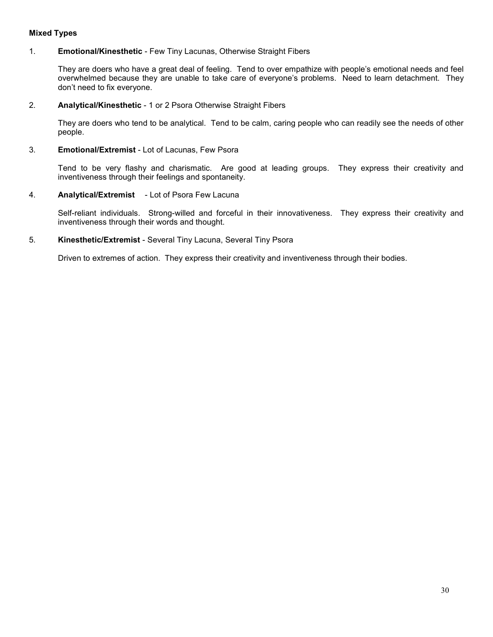# **Mixed Types**

# 1. **Emotional/Kinesthetic** - Few Tiny Lacunas, Otherwise Straight Fibers

They are doers who have a great deal of feeling. Tend to over empathize with people's emotional needs and feel overwhelmed because they are unable to take care of everyone's problems. Need to learn detachment. They don't need to fix everyone.

### 2. **Analytical/Kinesthetic** - 1 or 2 Psora Otherwise Straight Fibers

They are doers who tend to be analytical. Tend to be calm, caring people who can readily see the needs of other people.

### 3. **Emotional/Extremist** - Lot of Lacunas, Few Psora

Tend to be very flashy and charismatic. Are good at leading groups. They express their creativity and inventiveness through their feelings and spontaneity.

# 4. **Analytical/Extremist** - Lot of Psora Few Lacuna

Self-reliant individuals. Strong-willed and forceful in their innovativeness. They express their creativity and inventiveness through their words and thought.

# 5. **Kinesthetic/Extremist** - Several Tiny Lacuna, Several Tiny Psora

Driven to extremes of action. They express their creativity and inventiveness through their bodies.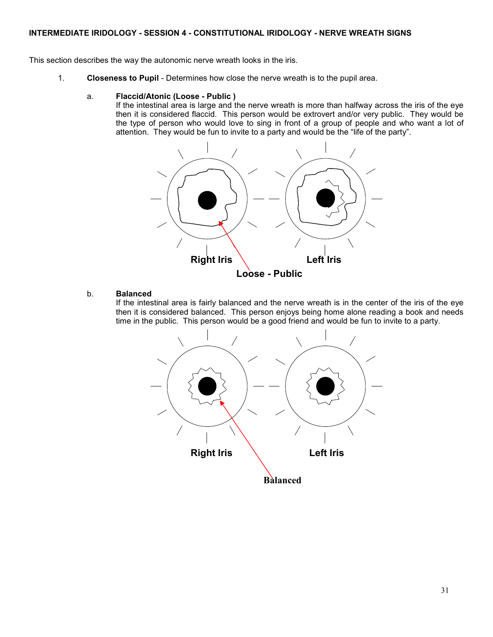# **INTERMEDIATE IRIDOLOGY - SESSION 4 - CONSTITUTIONAL IRIDOLOGY - NERVE WREATH SIGNS**

This section describes the way the autonomic nerve wreath looks in the iris.

1. **Closeness to Pupil** - Determines how close the nerve wreath is to the pupil area.

#### a. **Flaccid/Atonic (Loose - Public )**

If the intestinal area is large and the nerve wreath is more than halfway across the iris of the eye then it is considered flaccid. This person would be extrovert and/or very public. They would be the type of person who would love to sing in front of a group of people and who want a lot of attention. They would be fun to invite to a party and would be the "life of the party".



# b. **Balanced**

If the intestinal area is fairly balanced and the nerve wreath is in the center of the iris of the eye then it is considered balanced. This person enjoys being home alone reading a book and needs time in the public. This person would be a good friend and would be fun to invite to a party.

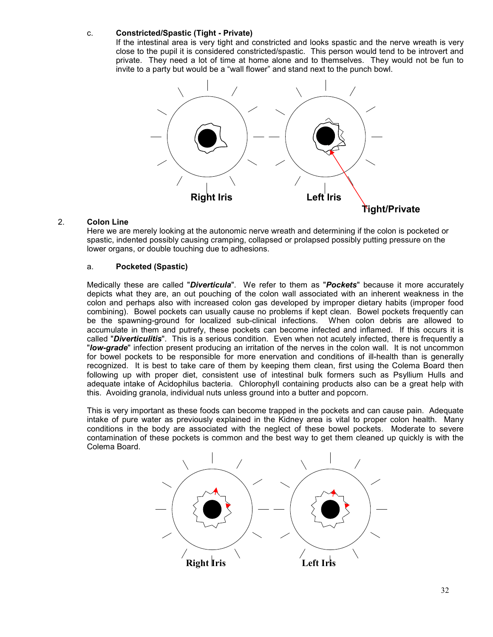## c. **Constricted/Spastic (Tight - Private)**

If the intestinal area is very tight and constricted and looks spastic and the nerve wreath is very close to the pupil it is considered constricted/spastic. This person would tend to be introvert and private. They need a lot of time at home alone and to themselves. They would not be fun to invite to a party but would be a "wall flower" and stand next to the punch bowl.



# 2. **Colon Line**

Here we are merely looking at the autonomic nerve wreath and determining if the colon is pocketed or spastic, indented possibly causing cramping, collapsed or prolapsed possibly putting pressure on the lower organs, or double touching due to adhesions.

# a. **Pocketed (Spastic)**

Medically these are called "*Diverticula*". We refer to them as "*Pockets*" because it more accurately depicts what they are, an out pouching of the colon wall associated with an inherent weakness in the colon and perhaps also with increased colon gas developed by improper dietary habits (improper food combining). Bowel pockets can usually cause no problems if kept clean. Bowel pockets frequently can be the spawning-ground for localized sub-clinical infections. When colon debris are allowed to accumulate in them and putrefy, these pockets can become infected and inflamed. If this occurs it is called "*Diverticulitis*". This is a serious condition. Even when not acutely infected, there is frequently a "*low-grade*" infection present producing an irritation of the nerves in the colon wall. It is not uncommon for bowel pockets to be responsible for more enervation and conditions of ill-health than is generally recognized. It is best to take care of them by keeping them clean, first using the Colema Board then following up with proper diet, consistent use of intestinal bulk formers such as Psyllium Hulls and adequate intake of Acidophilus bacteria. Chlorophyll containing products also can be a great help with this. Avoiding granola, individual nuts unless ground into a butter and popcorn.

This is very important as these foods can become trapped in the pockets and can cause pain. Adequate intake of pure water as previously explained in the Kidney area is vital to proper colon health. Many conditions in the body are associated with the neglect of these bowel pockets. Moderate to severe contamination of these pockets is common and the best way to get them cleaned up quickly is with the Colema Board.

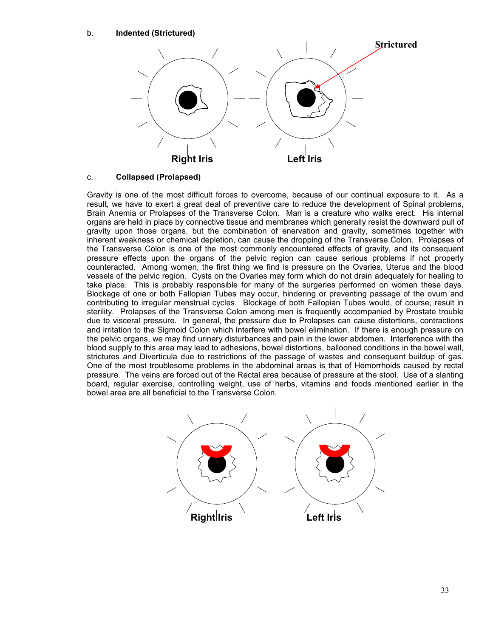## b. **Indented (Strictured)**



# c. **Collapsed (Prolapsed)**

Gravity is one of the most difficult forces to overcome, because of our continual exposure to it. As a result, we have to exert a great deal of preventive care to reduce the development of Spinal problems, Brain Anemia or Prolapses of the Transverse Colon. Man is a creature who walks erect. His internal organs are held in place by connective tissue and membranes which generally resist the downward pull of gravity upon those organs, but the combination of enervation and gravity, sometimes together with inherent weakness or chemical depletion, can cause the dropping of the Transverse Colon. Prolapses of the Transverse Colon is one of the most commonly encountered effects of gravity, and its consequent pressure effects upon the organs of the pelvic region can cause serious problems if not properly counteracted. Among women, the first thing we find is pressure on the Ovaries, Uterus and the blood vessels of the pelvic region. Cysts on the Ovaries may form which do not drain adequately for healing to take place. This is probably responsible for many of the surgeries performed on women these days. Blockage of one or both Fallopian Tubes may occur, hindering or preventing passage of the ovum and contributing to irregular menstrual cycles. Blockage of both Fallopian Tubes would, of course, result in sterility. Prolapses of the Transverse Colon among men is frequently accompanied by Prostate trouble due to visceral pressure. In general, the pressure due to Prolapses can cause distortions, contractions and irritation to the Sigmoid Colon which interfere with bowel elimination. If there is enough pressure on the pelvic organs, we may find urinary disturbances and pain in the lower abdomen. Interference with the blood supply to this area may lead to adhesions, bowel distortions, ballooned conditions in the bowel wall, strictures and Diverticula due to restrictions of the passage of wastes and consequent buildup of gas. One of the most troublesome problems in the abdominal areas is that of Hemorrhoids caused by rectal pressure. The veins are forced out of the Rectal area because of pressure at the stool. Use of a slanting board, regular exercise, controlling weight, use of herbs, vitamins and foods mentioned earlier in the bowel area are all beneficial to the Transverse Colon.

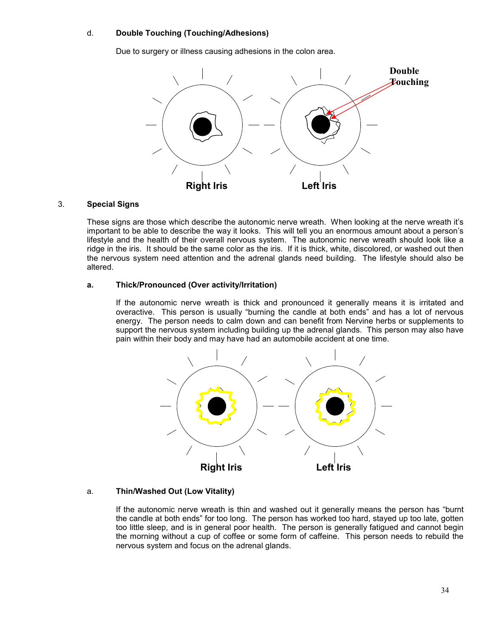## d. **Double Touching (Touching/Adhesions)**

Due to surgery or illness causing adhesions in the colon area.



#### 3. **Special Signs**

These signs are those which describe the autonomic nerve wreath. When looking at the nerve wreath it's important to be able to describe the way it looks. This will tell you an enormous amount about a person's lifestyle and the health of their overall nervous system. The autonomic nerve wreath should look like a ridge in the iris. It should be the same color as the iris. If it is thick, white, discolored, or washed out then the nervous system need attention and the adrenal glands need building. The lifestyle should also be altered.

#### **a. Thick/Pronounced (Over activity/Irritation)**

If the autonomic nerve wreath is thick and pronounced it generally means it is irritated and overactive. This person is usually "burning the candle at both ends" and has a lot of nervous energy. The person needs to calm down and can benefit from Nervine herbs or supplements to support the nervous system including building up the adrenal glands. This person may also have pain within their body and may have had an automobile accident at one time.



# a. **Thin/Washed Out (Low Vitality)**

If the autonomic nerve wreath is thin and washed out it generally means the person has "burnt the candle at both ends" for too long. The person has worked too hard, stayed up too late, gotten too little sleep, and is in general poor health. The person is generally fatigued and cannot begin the morning without a cup of coffee or some form of caffeine. This person needs to rebuild the nervous system and focus on the adrenal glands.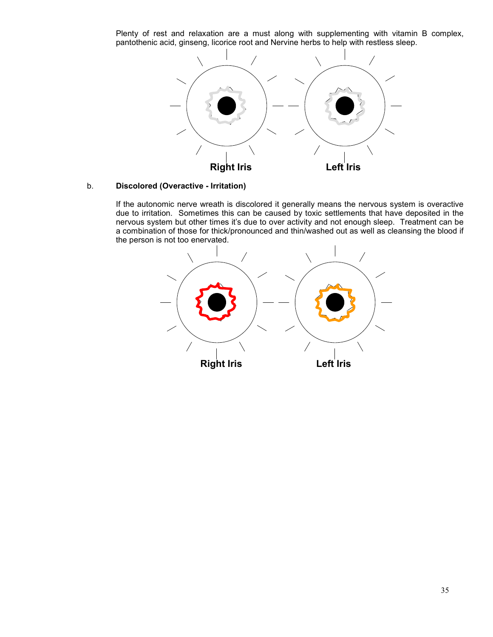Plenty of rest and relaxation are a must along with supplementing with vitamin B complex, pantothenic acid, ginseng, licorice root and Nervine herbs to help with restless sleep.



# b. **Discolored (Overactive - Irritation)**

If the autonomic nerve wreath is discolored it generally means the nervous system is overactive due to irritation. Sometimes this can be caused by toxic settlements that have deposited in the nervous system but other times it's due to over activity and not enough sleep. Treatment can be a combination of those for thick/pronounced and thin/washed out as well as cleansing the blood if the person is not too enervated.

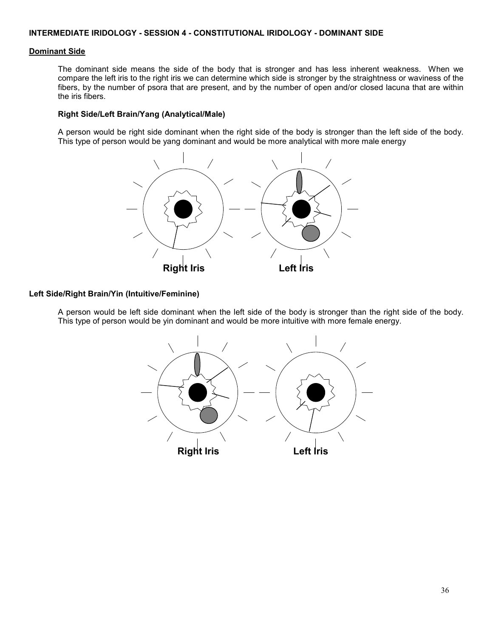### **Dominant Side**

The dominant side means the side of the body that is stronger and has less inherent weakness. When we compare the left iris to the right iris we can determine which side is stronger by the straightness or waviness of the fibers, by the number of psora that are present, and by the number of open and/or closed lacuna that are within the iris fibers.

### **Right Side/Left Brain/Yang (Analytical/Male)**

A person would be right side dominant when the right side of the body is stronger than the left side of the body. This type of person would be yang dominant and would be more analytical with more male energy



# **Left Side/Right Brain/Yin (Intuitive/Feminine)**

A person would be left side dominant when the left side of the body is stronger than the right side of the body. This type of person would be yin dominant and would be more intuitive with more female energy.

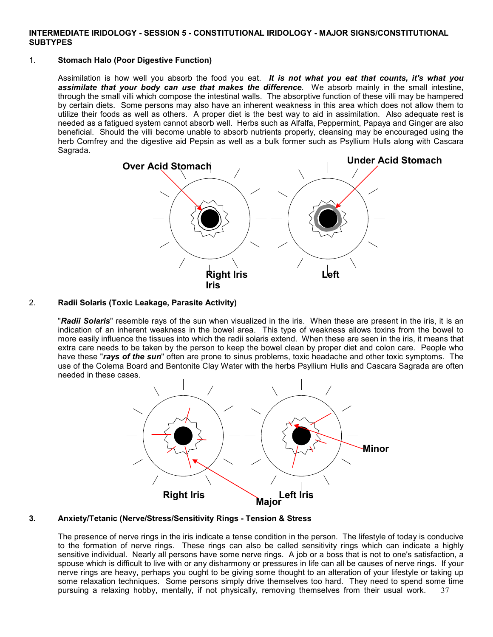### **INTERMEDIATE IRIDOLOGY - SESSION 5 - CONSTITUTIONAL IRIDOLOGY - MAJOR SIGNS/CONSTITUTIONAL SUBTYPES**

# 1. **Stomach Halo (Poor Digestive Function)**

Assimilation is how well you absorb the food you eat. *It is not what you eat that counts, it's what you assimilate that your body can use that makes the difference*. We absorb mainly in the small intestine, through the small villi which compose the intestinal walls. The absorptive function of these villi may be hampered by certain diets. Some persons may also have an inherent weakness in this area which does not allow them to utilize their foods as well as others. A proper diet is the best way to aid in assimilation. Also adequate rest is needed as a fatigued system cannot absorb well. Herbs such as Alfalfa, Peppermint, Papaya and Ginger are also beneficial. Should the villi become unable to absorb nutrients properly, cleansing may be encouraged using the herb Comfrey and the digestive aid Pepsin as well as a bulk former such as Psyllium Hulls along with Cascara Sagrada.



# 2. **Radii Solaris (Toxic Leakage, Parasite Activity)**

"*Radii Solaris*" resemble rays of the sun when visualized in the iris. When these are present in the iris, it is an indication of an inherent weakness in the bowel area. This type of weakness allows toxins from the bowel to more easily influence the tissues into which the radii solaris extend. When these are seen in the iris, it means that extra care needs to be taken by the person to keep the bowel clean by proper diet and colon care. People who have these "*rays of the sun*" often are prone to sinus problems, toxic headache and other toxic symptoms. The use of the Colema Board and Bentonite Clay Water with the herbs Psyllium Hulls and Cascara Sagrada are often needed in these cases.



### **3. Anxiety/Tetanic (Nerve/Stress/Sensitivity Rings - Tension & Stress**

37 The presence of nerve rings in the iris indicate a tense condition in the person. The lifestyle of today is conducive to the formation of nerve rings. These rings can also be called sensitivity rings which can indicate a highly sensitive individual. Nearly all persons have some nerve rings. A job or a boss that is not to one's satisfaction, a spouse which is difficult to live with or any disharmony or pressures in life can all be causes of nerve rings. If your nerve rings are heavy, perhaps you ought to be giving some thought to an alteration of your lifestyle or taking up some relaxation techniques. Some persons simply drive themselves too hard. They need to spend some time pursuing a relaxing hobby, mentally, if not physically, removing themselves from their usual work.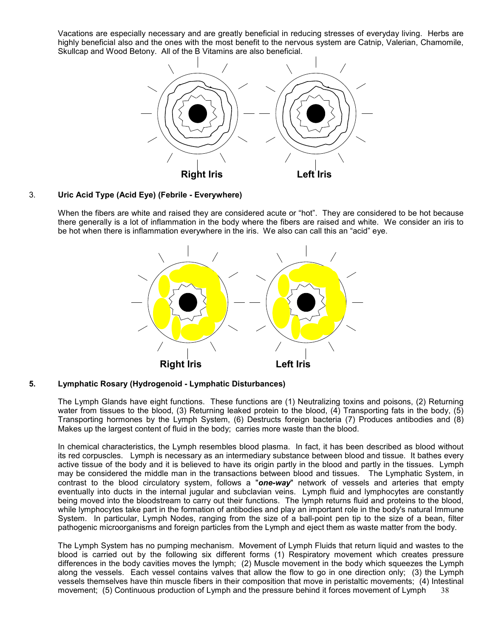Vacations are especially necessary and are greatly beneficial in reducing stresses of everyday living. Herbs are highly beneficial also and the ones with the most benefit to the nervous system are Catnip, Valerian, Chamomile, Skullcap and Wood Betony. All of the B Vitamins are also beneficial.



# 3. **Uric Acid Type (Acid Eye) (Febrile - Everywhere)**

When the fibers are white and raised they are considered acute or "hot". They are considered to be hot because there generally is a lot of inflammation in the body where the fibers are raised and white. We consider an iris to be hot when there is inflammation everywhere in the iris. We also can call this an "acid" eye.



#### **5. Lymphatic Rosary (Hydrogenoid - Lymphatic Disturbances)**

The Lymph Glands have eight functions. These functions are (1) Neutralizing toxins and poisons, (2) Returning water from tissues to the blood, (3) Returning leaked protein to the blood, (4) Transporting fats in the body, (5) Transporting hormones by the Lymph System, (6) Destructs foreign bacteria (7) Produces antibodies and (8) Makes up the largest content of fluid in the body; carries more waste than the blood.

In chemical characteristics, the Lymph resembles blood plasma. In fact, it has been described as blood without its red corpuscles. Lymph is necessary as an intermediary substance between blood and tissue. It bathes every active tissue of the body and it is believed to have its origin partly in the blood and partly in the tissues. Lymph may be considered the middle man in the transactions between blood and tissues. The Lymphatic System, in contrast to the blood circulatory system, follows a "*one-way*" network of vessels and arteries that empty eventually into ducts in the internal jugular and subclavian veins. Lymph fluid and lymphocytes are constantly being moved into the bloodstream to carry out their functions. The lymph returns fluid and proteins to the blood, while lymphocytes take part in the formation of antibodies and play an important role in the body's natural Immune System. In particular, Lymph Nodes, ranging from the size of a ball-point pen tip to the size of a bean, filter pathogenic microorganisms and foreign particles from the Lymph and eject them as waste matter from the body.

38 The Lymph System has no pumping mechanism. Movement of Lymph Fluids that return liquid and wastes to the blood is carried out by the following six different forms (1) Respiratory movement which creates pressure differences in the body cavities moves the lymph; (2) Muscle movement in the body which squeezes the Lymph along the vessels. Each vessel contains valves that allow the flow to go in one direction only; (3) the Lymph vessels themselves have thin muscle fibers in their composition that move in peristaltic movements; (4) Intestinal movement; (5) Continuous production of Lymph and the pressure behind it forces movement of Lymph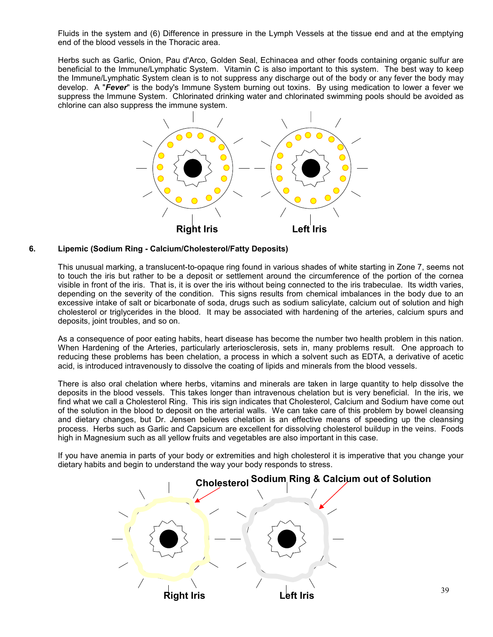Fluids in the system and (6) Difference in pressure in the Lymph Vessels at the tissue end and at the emptying end of the blood vessels in the Thoracic area.

Herbs such as Garlic, Onion, Pau d'Arco, Golden Seal, Echinacea and other foods containing organic sulfur are beneficial to the Immune/Lymphatic System. Vitamin C is also important to this system. The best way to keep the Immune/Lymphatic System clean is to not suppress any discharge out of the body or any fever the body may develop. A "*Fever*" is the body's Immune System burning out toxins. By using medication to lower a fever we suppress the Immune System. Chlorinated drinking water and chlorinated swimming pools should be avoided as chlorine can also suppress the immune system.



### **6. Lipemic (Sodium Ring - Calcium/Cholesterol/Fatty Deposits)**

This unusual marking, a translucent-to-opaque ring found in various shades of white starting in Zone 7, seems not to touch the iris but rather to be a deposit or settlement around the circumference of the portion of the cornea visible in front of the iris. That is, it is over the iris without being connected to the iris trabeculae. Its width varies, depending on the severity of the condition. This signs results from chemical imbalances in the body due to an excessive intake of salt or bicarbonate of soda, drugs such as sodium salicylate, calcium out of solution and high cholesterol or triglycerides in the blood. It may be associated with hardening of the arteries, calcium spurs and deposits, joint troubles, and so on.

As a consequence of poor eating habits, heart disease has become the number two health problem in this nation. When Hardening of the Arteries, particularly arteriosclerosis, sets in, many problems result. One approach to reducing these problems has been chelation, a process in which a solvent such as EDTA, a derivative of acetic acid, is introduced intravenously to dissolve the coating of lipids and minerals from the blood vessels.

There is also oral chelation where herbs, vitamins and minerals are taken in large quantity to help dissolve the deposits in the blood vessels. This takes longer than intravenous chelation but is very beneficial. In the iris, we find what we call a Cholesterol Ring. This iris sign indicates that Cholesterol, Calcium and Sodium have come out of the solution in the blood to deposit on the arterial walls. We can take care of this problem by bowel cleansing and dietary changes, but Dr. Jensen believes chelation is an effective means of speeding up the cleansing process. Herbs such as Garlic and Capsicum are excellent for dissolving cholesterol buildup in the veins. Foods high in Magnesium such as all yellow fruits and vegetables are also important in this case.

If you have anemia in parts of your body or extremities and high cholesterol it is imperative that you change your dietary habits and begin to understand the way your body responds to stress.

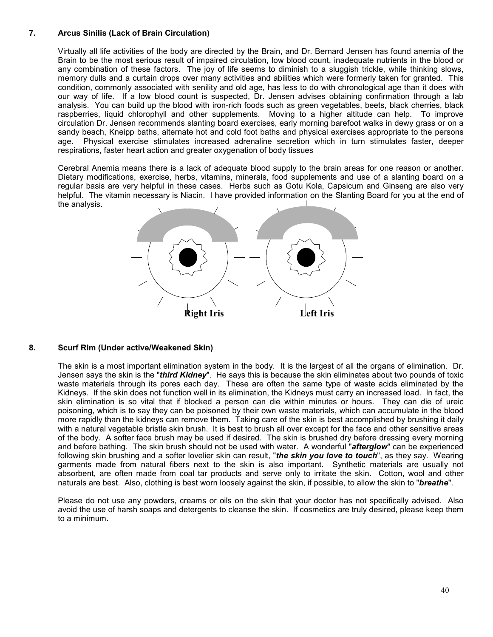# **7. Arcus Sinilis (Lack of Brain Circulation)**

Virtually all life activities of the body are directed by the Brain, and Dr. Bernard Jensen has found anemia of the Brain to be the most serious result of impaired circulation, low blood count, inadequate nutrients in the blood or any combination of these factors. The joy of life seems to diminish to a sluggish trickle, while thinking slows, memory dulls and a curtain drops over many activities and abilities which were formerly taken for granted. This condition, commonly associated with senility and old age, has less to do with chronological age than it does with our way of life. If a low blood count is suspected, Dr. Jensen advises obtaining confirmation through a lab analysis. You can build up the blood with iron-rich foods such as green vegetables, beets, black cherries, black raspberries, liquid chlorophyll and other supplements. Moving to a higher altitude can help. To improve circulation Dr. Jensen recommends slanting board exercises, early morning barefoot walks in dewy grass or on a sandy beach, Kneipp baths, alternate hot and cold foot baths and physical exercises appropriate to the persons age. Physical exercise stimulates increased adrenaline secretion which in turn stimulates faster, deeper respirations, faster heart action and greater oxygenation of body tissues

Cerebral Anemia means there is a lack of adequate blood supply to the brain areas for one reason or another. Dietary modifications, exercise, herbs, vitamins, minerals, food supplements and use of a slanting board on a regular basis are very helpful in these cases. Herbs such as Gotu Kola, Capsicum and Ginseng are also very helpful. The vitamin necessary is Niacin. I have provided information on the Slanting Board for you at the end of the analysis.



### **8. Scurf Rim (Under active/Weakened Skin)**

The skin is a most important elimination system in the body. It is the largest of all the organs of elimination. Dr. Jensen says the skin is the "*third Kidney*". He says this is because the skin eliminates about two pounds of toxic waste materials through its pores each day. These are often the same type of waste acids eliminated by the Kidneys. If the skin does not function well in its elimination, the Kidneys must carry an increased load. In fact, the skin elimination is so vital that if blocked a person can die within minutes or hours. They can die of ureic poisoning, which is to say they can be poisoned by their own waste materials, which can accumulate in the blood more rapidly than the kidneys can remove them. Taking care of the skin is best accomplished by brushing it daily with a natural vegetable bristle skin brush. It is best to brush all over except for the face and other sensitive areas of the body. A softer face brush may be used if desired. The skin is brushed dry before dressing every morning and before bathing. The skin brush should not be used with water. A wonderful "*afterglow*" can be experienced following skin brushing and a softer lovelier skin can result, "*the skin you love to touch*", as they say. Wearing garments made from natural fibers next to the skin is also important. Synthetic materials are usually not absorbent, are often made from coal tar products and serve only to irritate the skin. Cotton, wool and other naturals are best. Also, clothing is best worn loosely against the skin, if possible, to allow the skin to "*breathe*".

Please do not use any powders, creams or oils on the skin that your doctor has not specifically advised. Also avoid the use of harsh soaps and detergents to cleanse the skin. If cosmetics are truly desired, please keep them to a minimum.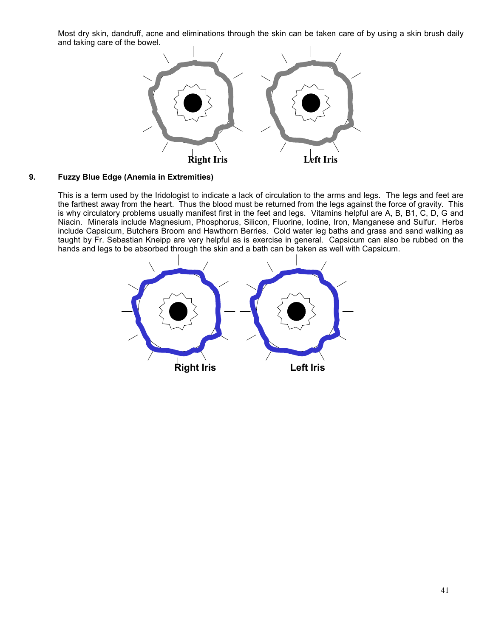Most dry skin, dandruff, acne and eliminations through the skin can be taken care of by using a skin brush daily and taking care of the bowel.



# **9. Fuzzy Blue Edge (Anemia in Extremities)**

This is a term used by the Iridologist to indicate a lack of circulation to the arms and legs. The legs and feet are the farthest away from the heart. Thus the blood must be returned from the legs against the force of gravity. This is why circulatory problems usually manifest first in the feet and legs. Vitamins helpful are A, B, B1, C, D, G and Niacin. Minerals include Magnesium, Phosphorus, Silicon, Fluorine, Iodine, Iron, Manganese and Sulfur. Herbs include Capsicum, Butchers Broom and Hawthorn Berries. Cold water leg baths and grass and sand walking as taught by Fr. Sebastian Kneipp are very helpful as is exercise in general. Capsicum can also be rubbed on the hands and legs to be absorbed through the skin and a bath can be taken as well with Capsicum.

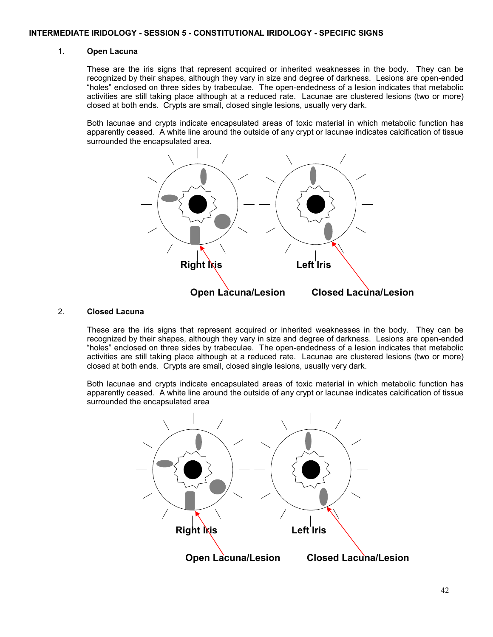### 1. **Open Lacuna**

These are the iris signs that represent acquired or inherited weaknesses in the body. They can be recognized by their shapes, although they vary in size and degree of darkness. Lesions are open-ended "holes" enclosed on three sides by trabeculae. The open-endedness of a lesion indicates that metabolic activities are still taking place although at a reduced rate. Lacunae are clustered lesions (two or more) closed at both ends. Crypts are small, closed single lesions, usually very dark.

Both lacunae and crypts indicate encapsulated areas of toxic material in which metabolic function has apparently ceased. A white line around the outside of any crypt or lacunae indicates calcification of tissue surrounded the encapsulated area.



# 2. **Closed Lacuna**

These are the iris signs that represent acquired or inherited weaknesses in the body. They can be recognized by their shapes, although they vary in size and degree of darkness. Lesions are open-ended "holes" enclosed on three sides by trabeculae. The open-endedness of a lesion indicates that metabolic activities are still taking place although at a reduced rate. Lacunae are clustered lesions (two or more) closed at both ends. Crypts are small, closed single lesions, usually very dark.

Both lacunae and crypts indicate encapsulated areas of toxic material in which metabolic function has apparently ceased. A white line around the outside of any crypt or lacunae indicates calcification of tissue surrounded the encapsulated area

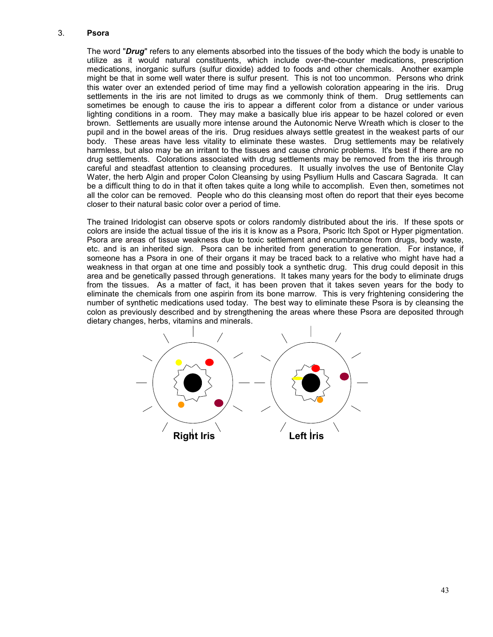### 3. **Psora**

The word "*Drug*" refers to any elements absorbed into the tissues of the body which the body is unable to utilize as it would natural constituents, which include over-the-counter medications, prescription medications, inorganic sulfurs (sulfur dioxide) added to foods and other chemicals. Another example might be that in some well water there is sulfur present. This is not too uncommon. Persons who drink this water over an extended period of time may find a yellowish coloration appearing in the iris. Drug settlements in the iris are not limited to drugs as we commonly think of them. Drug settlements can sometimes be enough to cause the iris to appear a different color from a distance or under various lighting conditions in a room. They may make a basically blue iris appear to be hazel colored or even brown. Settlements are usually more intense around the Autonomic Nerve Wreath which is closer to the pupil and in the bowel areas of the iris. Drug residues always settle greatest in the weakest parts of our body. These areas have less vitality to eliminate these wastes. Drug settlements may be relatively harmless, but also may be an irritant to the tissues and cause chronic problems. It's best if there are no drug settlements. Colorations associated with drug settlements may be removed from the iris through careful and steadfast attention to cleansing procedures. It usually involves the use of Bentonite Clay Water, the herb Algin and proper Colon Cleansing by using Psyllium Hulls and Cascara Sagrada. It can be a difficult thing to do in that it often takes quite a long while to accomplish. Even then, sometimes not all the color can be removed. People who do this cleansing most often do report that their eyes become closer to their natural basic color over a period of time.

The trained Iridologist can observe spots or colors randomly distributed about the iris. If these spots or colors are inside the actual tissue of the iris it is know as a Psora, Psoric Itch Spot or Hyper pigmentation. Psora are areas of tissue weakness due to toxic settlement and encumbrance from drugs, body waste, etc. and is an inherited sign. Psora can be inherited from generation to generation. For instance, if someone has a Psora in one of their organs it may be traced back to a relative who might have had a weakness in that organ at one time and possibly took a synthetic drug. This drug could deposit in this area and be genetically passed through generations. It takes many years for the body to eliminate drugs from the tissues. As a matter of fact, it has been proven that it takes seven years for the body to eliminate the chemicals from one aspirin from its bone marrow. This is very frightening considering the number of synthetic medications used today. The best way to eliminate these Psora is by cleansing the colon as previously described and by strengthening the areas where these Psora are deposited through dietary changes, herbs, vitamins and minerals.

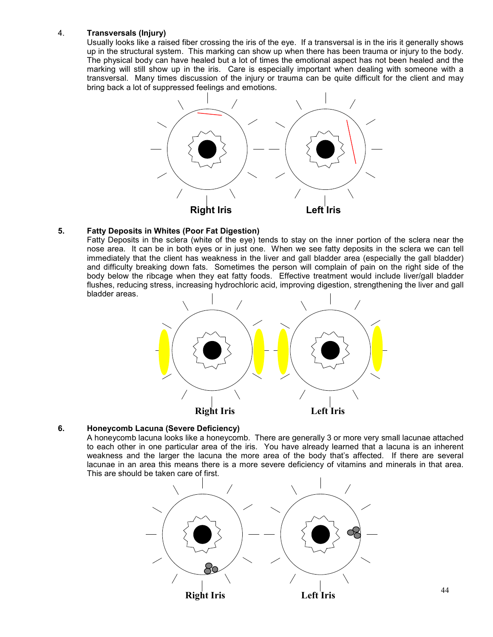# 4. **Transversals (Injury)**

Usually looks like a raised fiber crossing the iris of the eye. If a transversal is in the iris it generally shows up in the structural system. This marking can show up when there has been trauma or injury to the body. The physical body can have healed but a lot of times the emotional aspect has not been healed and the marking will still show up in the iris. Care is especially important when dealing with someone with a transversal. Many times discussion of the injury or trauma can be quite difficult for the client and may bring back a lot of suppressed feelings and emotions.



# **5. Fatty Deposits in Whites (Poor Fat Digestion)**

Fatty Deposits in the sclera (white of the eye) tends to stay on the inner portion of the sclera near the nose area. It can be in both eyes or in just one. When we see fatty deposits in the sclera we can tell immediately that the client has weakness in the liver and gall bladder area (especially the gall bladder) and difficulty breaking down fats. Sometimes the person will complain of pain on the right side of the body below the ribcage when they eat fatty foods. Effective treatment would include liver/gall bladder flushes, reducing stress, increasing hydrochloric acid, improving digestion, strengthening the liver and gall bladder areas.



### **6. Honeycomb Lacuna (Severe Deficiency)**

A honeycomb lacuna looks like a honeycomb. There are generally 3 or more very small lacunae attached to each other in one particular area of the iris. You have already learned that a lacuna is an inherent weakness and the larger the lacuna the more area of the body that's affected. If there are several lacunae in an area this means there is a more severe deficiency of vitamins and minerals in that area. This are should be taken care of first.

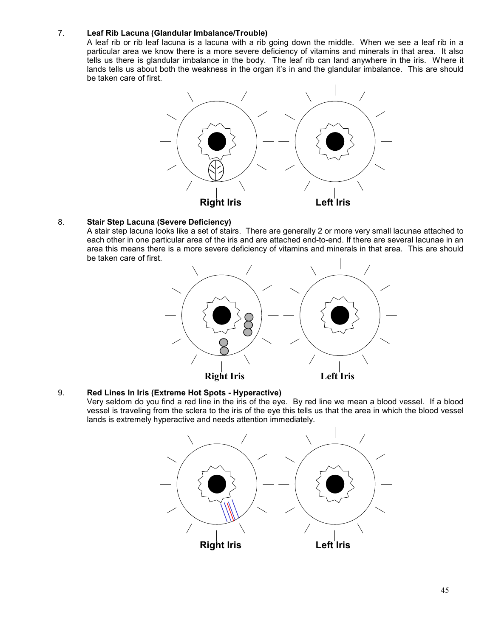# 7. **Leaf Rib Lacuna (Glandular Imbalance/Trouble)**

A leaf rib or rib leaf lacuna is a lacuna with a rib going down the middle. When we see a leaf rib in a particular area we know there is a more severe deficiency of vitamins and minerals in that area. It also tells us there is glandular imbalance in the body. The leaf rib can land anywhere in the iris. Where it lands tells us about both the weakness in the organ it's in and the glandular imbalance. This are should be taken care of first.



### 8. **Stair Step Lacuna (Severe Deficiency)**

A stair step lacuna looks like a set of stairs. There are generally 2 or more very small lacunae attached to each other in one particular area of the iris and are attached end-to-end. If there are several lacunae in an area this means there is a more severe deficiency of vitamins and minerals in that area. This are should be taken care of first.



# 9. **Red Lines In Iris (Extreme Hot Spots - Hyperactive)**

Very seldom do you find a red line in the iris of the eye. By red line we mean a blood vessel. If a blood vessel is traveling from the sclera to the iris of the eye this tells us that the area in which the blood vessel lands is extremely hyperactive and needs attention immediately.

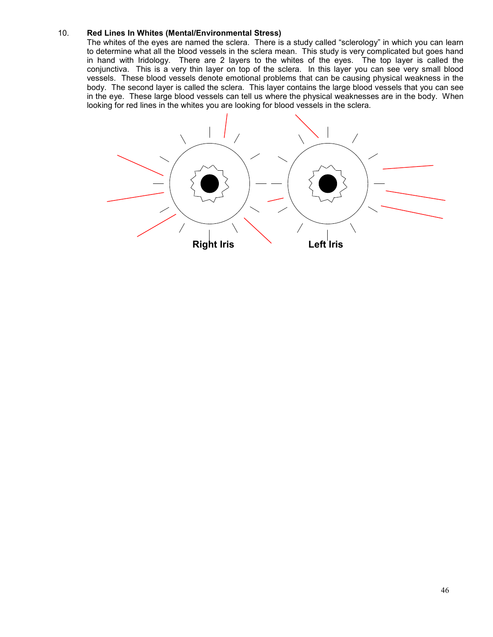# 10. **Red Lines In Whites (Mental/Environmental Stress)**

The whites of the eyes are named the sclera. There is a study called "sclerology" in which you can learn to determine what all the blood vessels in the sclera mean. This study is very complicated but goes hand in hand with Iridology. There are 2 layers to the whites of the eyes. The top layer is called the conjunctiva. This is a very thin layer on top of the sclera. In this layer you can see very small blood vessels. These blood vessels denote emotional problems that can be causing physical weakness in the body. The second layer is called the sclera. This layer contains the large blood vessels that you can see in the eye. These large blood vessels can tell us where the physical weaknesses are in the body. When looking for red lines in the whites you are looking for blood vessels in the sclera.

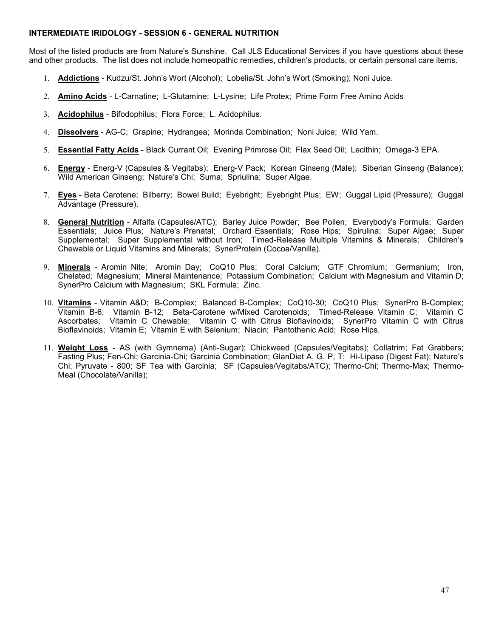# **INTERMEDIATE IRIDOLOGY - SESSION 6 - GENERAL NUTRITION**

Most of the listed products are from Nature's Sunshine. Call JLS Educational Services if you have questions about these and other products. The list does not include homeopathic remedies, children's products, or certain personal care items.

- 1. **Addictions** Kudzu/St. John's Wort (Alcohol); Lobelia/St. John's Wort (Smoking); Noni Juice.
- 2. **Amino Acids** L-Carnatine; L-Glutamine; L-Lysine; Life Protex; Prime Form Free Amino Acids
- 3. **Acidophilus** Bifodophilus; Flora Force; L. Acidophilus.
- 4. **Dissolvers** AG-C; Grapine; Hydrangea; Morinda Combination; Noni Juice; Wild Yam.
- 5. **Essential Fatty Acids** Black Currant Oil; Evening Primrose Oil; Flax Seed Oil; Lecithin; Omega-3 EPA.
- 6. **Energy** Energ-V (Capsules & Vegitabs); Energ-V Pack; Korean Ginseng (Male); Siberian Ginseng (Balance); Wild American Ginseng; Nature's Chi; Suma; Spriulina; Super Algae.
- 7. **Eyes** Beta Carotene; Bilberry; Bowel Build; Eyebright; Eyebright Plus; EW; Guggal Lipid (Pressure); Guggal Advantage (Pressure).
- 8. **General Nutrition** Alfalfa (Capsules/ATC); Barley Juice Powder; Bee Pollen; Everybody's Formula; Garden Essentials; Juice Plus; Nature's Prenatal; Orchard Essentials; Rose Hips; Spirulina; Super Algae; Super Supplemental; Super Supplemental without Iron; Timed-Release Multiple Vitamins & Minerals; Children's Chewable or Liquid Vitamins and Minerals; SynerProtein (Cocoa/Vanilla).
- 9. **Minerals** Aromin Nite; Aromin Day; CoQ10 Plus; Coral Calcium; GTF Chromium; Germanium; Iron, Chelated; Magnesium; Mineral Maintenance; Potassium Combination; Calcium with Magnesium and Vitamin D; SynerPro Calcium with Magnesium; SKL Formula; Zinc.
- 10. **Vitamins** Vitamin A&D; B-Complex; Balanced B-Complex; CoQ10-30; CoQ10 Plus; SynerPro B-Complex; Vitamin B-6; Vitamin B-12; Beta-Carotene w/Mixed Carotenoids; Timed-Release Vitamin C; Vitamin C Ascorbates; Vitamin C Chewable; Vitamin C with Citrus Bioflavinoids; SynerPro Vitamin C with Citrus Bioflavinoids; Vitamin E; Vitamin E with Selenium; Niacin; Pantothenic Acid; Rose Hips.
- 11. **Weight Loss** AS (with Gymnema) (Anti-Sugar); Chickweed (Capsules/Vegitabs); Collatrim; Fat Grabbers; Fasting Plus; Fen-Chi; Garcinia-Chi; Garcinia Combination; GlanDiet A, G, P, T; Hi-Lipase (Digest Fat); Nature's Chi; Pyruvate - 800; SF Tea with Garcinia; SF (Capsules/Vegitabs/ATC); Thermo-Chi; Thermo-Max; Thermo-Meal (Chocolate/Vanilla);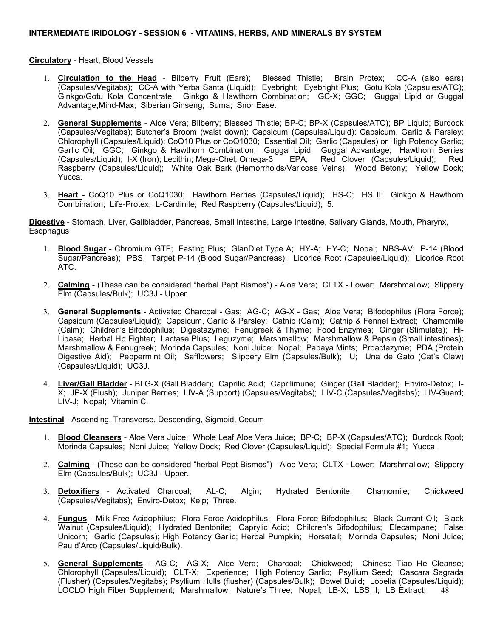**Circulatory** - Heart, Blood Vessels

- 1. **Circulation to the Head** Bilberry Fruit (Ears); Blessed Thistle; Brain Protex; CC-A (also ears) (Capsules/Vegitabs); CC-A with Yerba Santa (Liquid); Eyebright; Eyebright Plus; Gotu Kola (Capsules/ATC); Ginkgo/Gotu Kola Concentrate; Ginkgo & Hawthorn Combination; GC-X; GGC; Guggal Lipid or Guggal Advantage;Mind-Max; Siberian Ginseng; Suma; Snor Ease.
- 2. **General Supplements** Aloe Vera; Bilberry; Blessed Thistle; BP-C; BP-X (Capsules/ATC); BP Liquid; Burdock (Capsules/Vegitabs); Butcher's Broom (waist down); Capsicum (Capsules/Liquid); Capsicum, Garlic & Parsley; Chlorophyll (Capsules/Liquid); CoQ10 Plus or CoQ1030; Essential Oil; Garlic (Capsules) or High Potency Garlic; Garlic Oil; GGC; Ginkgo & Hawthorn Combination; Guggal Lipid; Guggal Advantage; Hawthorn Berries<br>(Capsules/Liquid): I-X (Iron): Lecithin: Mega-Chel: Omega-3 EPA: Red Clover (Capsules/Liquid): Red (Capsules/Liquid); I-X (Iron); Lecithin; Mega-Chel; Omega-3 EPA; Red Clover (Capsules/Liquid); Red Raspberry (Capsules/Liquid); White Oak Bark (Hemorrhoids/Varicose Veins); Wood Betony; Yellow Dock; Yucca.
- 3. **Heart**  CoQ10 Plus or CoQ1030; Hawthorn Berries (Capsules/Liquid); HS-C; HS II; Ginkgo & Hawthorn Combination; Life-Protex; L-Cardinite; Red Raspberry (Capsules/Liquid); 5.

**Digestive** - Stomach, Liver, Gallbladder, Pancreas, Small Intestine, Large Intestine, Salivary Glands, Mouth, Pharynx, Esophagus

- 1. **Blood Sugar** Chromium GTF; Fasting Plus; GlanDiet Type A; HY-A; HY-C; Nopal; NBS-AV; P-14 (Blood Sugar/Pancreas); PBS; Target P-14 (Blood Sugar/Pancreas); Licorice Root (Capsules/Liquid); Licorice Root ATC.
- 2. **Calming** (These can be considered "herbal Pept Bismos") Aloe Vera; CLTX Lower; Marshmallow; Slippery Elm (Capsules/Bulk); UC3J - Upper.
- 3. **General Supplements** Activated Charcoal Gas; AG-C; AG-X Gas; Aloe Vera; Bifodophilus (Flora Force); Capsicum (Capsules/Liquid); Capsicum, Garlic & Parsley; Catnip (Calm); Catnip & Fennel Extract; Chamomile (Calm); Children's Bifodophilus; Digestazyme; Fenugreek & Thyme; Food Enzymes; Ginger (Stimulate); Hi-Lipase; Herbal Hp Fighter; Lactase Plus; Leguzyme; Marshmallow; Marshmallow & Pepsin (Small intestines); Marshmallow & Fenugreek; Morinda Capsules; Noni Juice; Nopal; Papaya Mints; Proactazyme; PDA (Protein Digestive Aid); Peppermint Oil; Safflowers; Slippery Elm (Capsules/Bulk); U; Una de Gato (Cat's Claw) (Capsules/Liquid); UC3J.
- 4. **Liver/Gall Bladder** BLG-X (Gall Bladder); Caprilic Acid; Caprilimune; Ginger (Gall Bladder); Enviro-Detox; I-X; JP-X (Flush); Juniper Berries; LIV-A (Support) (Capsules/Vegitabs); LIV-C (Capsules/Vegitabs); LIV-Guard; LIV-J; Nopal; Vitamin C.

**Intestinal** - Ascending, Transverse, Descending, Sigmoid, Cecum

- 1. **Blood Cleansers** Aloe Vera Juice; Whole Leaf Aloe Vera Juice; BP-C; BP-X (Capsules/ATC); Burdock Root; Morinda Capsules; Noni Juice; Yellow Dock; Red Clover (Capsules/Liquid); Special Formula #1; Yucca.
- 2. **Calming** (These can be considered "herbal Pept Bismos") Aloe Vera; CLTX Lower; Marshmallow; Slippery Elm (Capsules/Bulk); UC3J - Upper.
- 3. **Detoxifiers** Activated Charcoal; AL-C; Algin; Hydrated Bentonite; Chamomile; Chickweed (Capsules/Vegitabs); Enviro-Detox; Kelp; Three.
- 4. **Fungus** Milk Free Acidophilus; Flora Force Acidophilus; Flora Force Bifodophilus; Black Currant Oil; Black Walnut (Capsules/Liquid); Hydrated Bentonite; Caprylic Acid; Children's Bifodophilus; Elecampane; False Unicorn; Garlic (Capsules); High Potency Garlic; Herbal Pumpkin; Horsetail; Morinda Capsules; Noni Juice; Pau d'Arco (Capsules/Liquid/Bulk).
- 48 5. **General Supplements** - AG-C; AG-X; Aloe Vera; Charcoal; Chickweed; Chinese Tiao He Cleanse; Chlorophyll (Capsules/Liquid); CLT-X; Experience; High Potency Garlic; Psyllium Seed; Cascara Sagrada (Flusher) (Capsules/Vegitabs); Psyllium Hulls (flusher) (Capsules/Bulk); Bowel Build; Lobelia (Capsules/Liquid); LOCLO High Fiber Supplement; Marshmallow; Nature's Three; Nopal; LB-X; LBS II; LB Extract;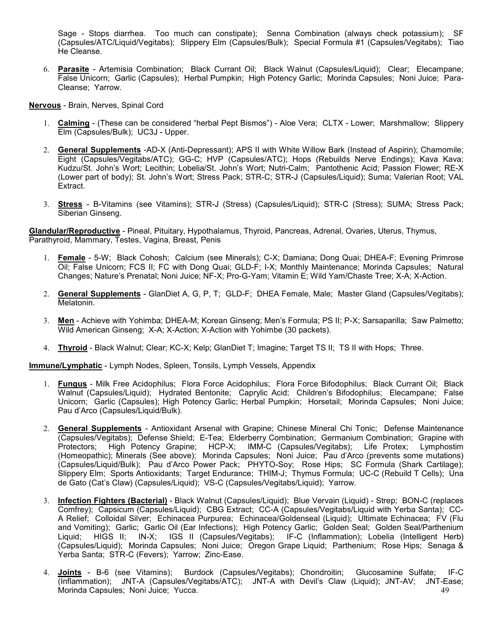Sage - Stops diarrhea. Too much can constipate); Senna Combination (always check potassium); SF (Capsules/ATC/Liquid/Vegitabs); Slippery Elm (Capsules/Bulk); Special Formula #1 (Capsules/Vegitabs); Tiao He Cleanse.

6. **Parasite** - Artemisia Combination; Black Currant Oil; Black Walnut (Capsules/Liquid); Clear; Elecampane; False Unicorn; Garlic (Capsules); Herbal Pumpkin; High Potency Garlic; Morinda Capsules; Noni Juice; Para-Cleanse; Yarrow.

**Nervous** - Brain, Nerves, Spinal Cord

- 1. **Calming** (These can be considered "herbal Pept Bismos") Aloe Vera; CLTX Lower; Marshmallow; Slippery Elm (Capsules/Bulk); UC3J - Upper.
- 2. **General Supplements** -AD-X (Anti-Depressant); APS II with White Willow Bark (Instead of Aspirin); Chamomile; Eight (Capsules/Vegitabs/ATC); GG-C; HVP (Capsules/ATC); Hops (Rebuilds Nerve Endings); Kava Kava; Kudzu/St. John's Wort; Lecithin; Lobelia/St. John's Wort; Nutri-Calm; Pantothenic Acid; Passion Flower; RE-X (Lower part of body); St. John's Wort; Stress Pack; STR-C; STR-J (Capsules/Liquid); Suma; Valerian Root; VAL Extract.
- 3. **Stress** B-Vitamins (see Vitamins); STR-J (Stress) (Capsules/Liquid); STR-C (Stress); SUMA; Stress Pack; Siberian Ginseng.

**Glandular/Reproductive** - Pineal, Pituitary, Hypothalamus, Thyroid, Pancreas, Adrenal, Ovaries, Uterus, Thymus, Parathyroid, Mammary, Testes, Vagina, Breast, Penis

- 1. **Female** 5-W; Black Cohosh; Calcium (see Minerals); C-X; Damiana; Dong Quai; DHEA-F; Evening Primrose Oil; False Unicorn; FCS II; FC with Dong Quai; GLD-F; I-X; Monthly Maintenance; Morinda Capsules; Natural Changes; Nature's Prenatal; Noni Juice; NF-X; Pro-G-Yam; Vitamin E; Wild Yam/Chaste Tree; X-A; X-Action.
- 2. **General Supplements** GlanDiet A, G, P, T; GLD-F; DHEA Female, Male; Master Gland (Capsules/Vegitabs); Melatonin.
- 3. **Men** Achieve with Yohimba; DHEA-M; Korean Ginseng; Men's Formula; PS II; P-X; Sarsaparilla; Saw Palmetto; Wild American Ginseng; X-A; X-Action; X-Action with Yohimbe (30 packets).
- 4. **Thyroid** Black Walnut; Clear; KC-X; Kelp; GlanDiet T; Imagine; Target TS II; TS II with Hops; Three.

**Immune/Lymphatic** - Lymph Nodes, Spleen, Tonsils, Lymph Vessels, Appendix

- 1. **Fungus** Milk Free Acidophilus; Flora Force Acidophilus; Flora Force Bifodophilus; Black Currant Oil; Black Walnut (Capsules/Liquid); Hydrated Bentonite; Caprylic Acid; Children's Bifodophilus; Elecampane; False Unicorn; Garlic (Capsules); High Potency Garlic; Herbal Pumpkin; Horsetail; Morinda Capsules; Noni Juice; Pau d'Arco (Capsules/Liquid/Bulk).
- 2. **General Supplements** Antioxidant Arsenal with Grapine; Chinese Mineral Chi Tonic; Defense Maintenance (Capsules/Vegitabs); Defense Shield; E-Tea; Elderberry Combination; Germanium Combination; Grapine with Protectors; High Potency Grapine; HCP-X; IMM-C (Capsules/Vegitabs); Life Protex; Lymphostim (Homeopathic); Minerals (See above); Morinda Capsules; Noni Juice; Pau d'Arco (prevents some mutations) (Capsules/Liquid/Bulk); Pau d'Arco Power Pack; PHYTO-Soy; Rose Hips; SC Formula (Shark Cartilage); Slippery Elm; Sports Antioxidants; Target Endurance; THIM-J; Thymus Formula; UC-C (Rebuild T Cells); Una de Gato (Cat's Claw) (Capsules/Liquid); VS-C (Capsules/Vegitabs/Liquid); Yarrow.
- 3. **Infection Fighters (Bacterial)** Black Walnut (Capsules/Liquid); Blue Vervain (Liquid) Strep; BON-C (replaces Comfrey); Capsicum (Capsules/Liquid); CBG Extract; CC-A (Capsules/Vegitabs/Liquid with Yerba Santa); CC-A Relief; Colloidal Silver; Echinacea Purpurea; Echinacea/Goldenseal (Liquid); Ultimate Echinacea; FV (Flu and Vomiting); Garlic; Garlic Oil (Ear Infections); High Potency Garlic; Golden Seal; Golden Seal/Parthenium Liquid; HIGS II; IN-X; IGS II (Capsules/Vegitabs); IF-C (Inflammation); Lobelia (Intelligent Herb) (Capsules/Liquid); Morinda Capsules; Noni Juice; Oregon Grape Liquid; Parthenium; Rose Hips; Senaga & Yerba Santa; STR-C (Fevers); Yarrow; Zinc-Ease.
- 49 4. **Joints** - B-6 (see Vitamins); Burdock (Capsules/Vegitabs); Chondroitin; Glucosamine Sulfate; IF-C (Inflammation); JNT-A (Capsules/Vegitabs/ATC); JNT-A with Devil's Claw (Liquid); JNT-AV; JNT-Ease; Morinda Capsules; Noni Juice; Yucca.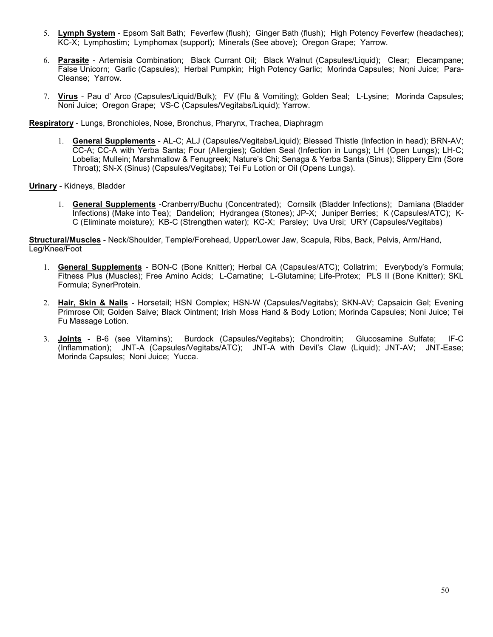- 5. **Lymph System** Epsom Salt Bath; Feverfew (flush); Ginger Bath (flush); High Potency Feverfew (headaches); KC-X; Lymphostim; Lymphomax (support); Minerals (See above); Oregon Grape; Yarrow.
- 6. **Parasite** Artemisia Combination; Black Currant Oil; Black Walnut (Capsules/Liquid); Clear; Elecampane; False Unicorn; Garlic (Capsules); Herbal Pumpkin; High Potency Garlic; Morinda Capsules; Noni Juice; Para-Cleanse; Yarrow.
- 7. **Virus** Pau d' Arco (Capsules/Liquid/Bulk); FV (Flu & Vomiting); Golden Seal; L-Lysine; Morinda Capsules; Noni Juice; Oregon Grape; VS-C (Capsules/Vegitabs/Liquid); Yarrow.

**Respiratory** - Lungs, Bronchioles, Nose, Bronchus, Pharynx, Trachea, Diaphragm

1. **General Supplements** - AL-C; ALJ (Capsules/Vegitabs/Liquid); Blessed Thistle (Infection in head); BRN-AV; CC-A; CC-A with Yerba Santa; Four (Allergies); Golden Seal (Infection in Lungs); LH (Open Lungs); LH-C; Lobelia; Mullein; Marshmallow & Fenugreek; Nature's Chi; Senaga & Yerba Santa (Sinus); Slippery Elm (Sore Throat); SN-X (Sinus) (Capsules/Vegitabs); Tei Fu Lotion or Oil (Opens Lungs).

**Urinary** - Kidneys, Bladder

1. **General Supplements** -Cranberry/Buchu (Concentrated); Cornsilk (Bladder Infections); Damiana (Bladder Infections) (Make into Tea); Dandelion; Hydrangea (Stones); JP-X; Juniper Berries; K (Capsules/ATC); K-C (Eliminate moisture); KB-C (Strengthen water); KC-X; Parsley; Uva Ursi; URY (Capsules/Vegitabs)

**Structural/Muscles** - Neck/Shoulder, Temple/Forehead, Upper/Lower Jaw, Scapula, Ribs, Back, Pelvis, Arm/Hand, Leg/Knee/Foot

- 1. **General Supplements** BON-C (Bone Knitter); Herbal CA (Capsules/ATC); Collatrim; Everybody's Formula; Fitness Plus (Muscles); Free Amino Acids; L-Carnatine; L-Glutamine; Life-Protex; PLS II (Bone Knitter); SKL Formula; SynerProtein.
- 2. **Hair, Skin & Nails** Horsetail; HSN Complex; HSN-W (Capsules/Vegitabs); SKN-AV; Capsaicin Gel; Evening Primrose Oil; Golden Salve; Black Ointment; Irish Moss Hand & Body Lotion; Morinda Capsules; Noni Juice; Tei Fu Massage Lotion.
- 3. **Joints** B-6 (see Vitamins); Burdock (Capsules/Vegitabs); Chondroitin; Glucosamine Sulfate; IF-C (Inflammation); JNT-A (Capsules/Vegitabs/ATC); JNT-A with Devil's Claw (Liquid); JNT-AV; JNT-Ease; Morinda Capsules; Noni Juice; Yucca.